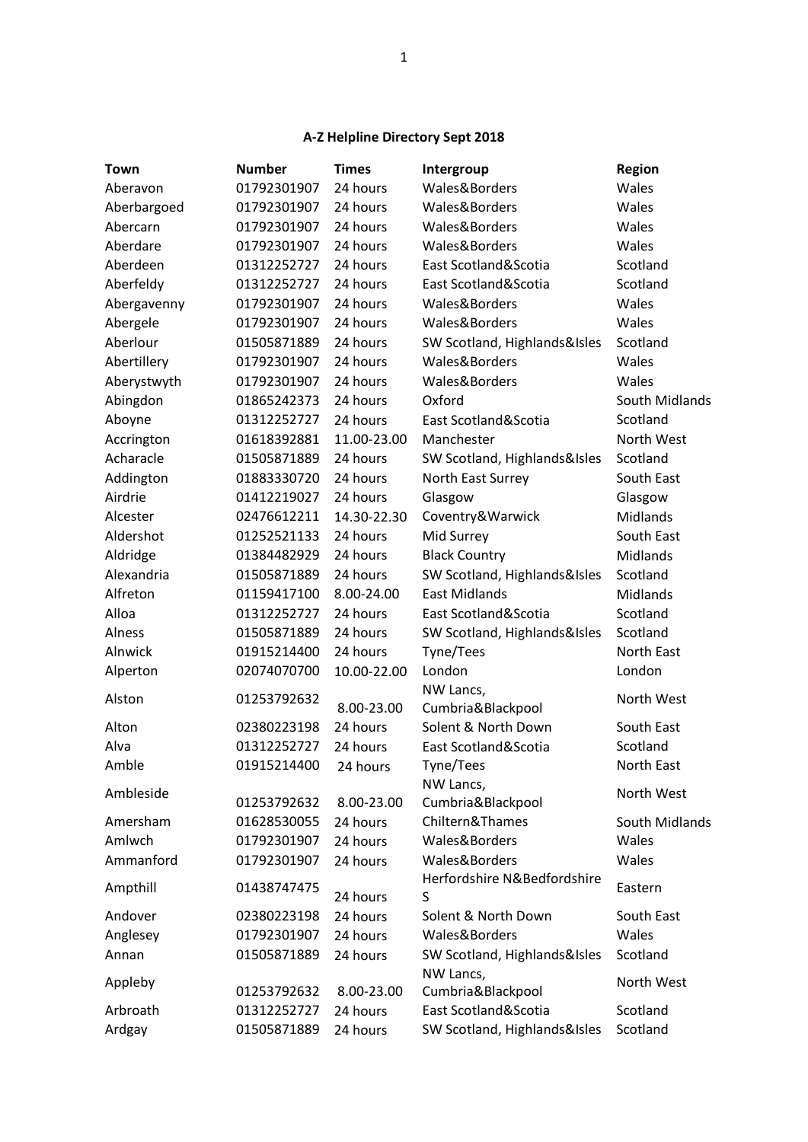## **A-Z Helpline Directory Sept 2018**

| Town        | <b>Number</b> | <b>Times</b> | Intergroup                     | <b>Region</b>  |
|-------------|---------------|--------------|--------------------------------|----------------|
| Aberavon    | 01792301907   | 24 hours     | Wales&Borders                  | Wales          |
| Aberbargoed | 01792301907   | 24 hours     | Wales&Borders                  | Wales          |
| Abercarn    | 01792301907   | 24 hours     | Wales&Borders                  | Wales          |
| Aberdare    | 01792301907   | 24 hours     | Wales&Borders                  | Wales          |
| Aberdeen    | 01312252727   | 24 hours     | East Scotland&Scotia           | Scotland       |
| Aberfeldy   | 01312252727   | 24 hours     | East Scotland&Scotia           | Scotland       |
| Abergavenny | 01792301907   | 24 hours     | Wales&Borders                  | Wales          |
| Abergele    | 01792301907   | 24 hours     | Wales&Borders                  | Wales          |
| Aberlour    | 01505871889   | 24 hours     | SW Scotland, Highlands&Isles   | Scotland       |
| Abertillery | 01792301907   | 24 hours     | Wales&Borders                  | Wales          |
| Aberystwyth | 01792301907   | 24 hours     | Wales&Borders                  | Wales          |
| Abingdon    | 01865242373   | 24 hours     | Oxford                         | South Midlands |
| Aboyne      | 01312252727   | 24 hours     | East Scotland&Scotia           | Scotland       |
| Accrington  | 01618392881   | 11.00-23.00  | Manchester                     | North West     |
| Acharacle   | 01505871889   | 24 hours     | SW Scotland, Highlands&Isles   | Scotland       |
| Addington   | 01883330720   | 24 hours     | North East Surrey              | South East     |
| Airdrie     | 01412219027   | 24 hours     | Glasgow                        | Glasgow        |
| Alcester    | 02476612211   | 14.30-22.30  | Coventry&Warwick               | Midlands       |
| Aldershot   | 01252521133   | 24 hours     | Mid Surrey                     | South East     |
| Aldridge    | 01384482929   | 24 hours     | <b>Black Country</b>           | Midlands       |
| Alexandria  | 01505871889   | 24 hours     | SW Scotland, Highlands&Isles   | Scotland       |
| Alfreton    | 01159417100   | 8.00-24.00   | <b>East Midlands</b>           | Midlands       |
| Alloa       | 01312252727   | 24 hours     | East Scotland&Scotia           | Scotland       |
| Alness      | 01505871889   | 24 hours     | SW Scotland, Highlands&Isles   | Scotland       |
| Alnwick     | 01915214400   | 24 hours     | Tyne/Tees                      | North East     |
| Alperton    | 02074070700   | 10.00-22.00  | London                         | London         |
| Alston      | 01253792632   |              | NW Lancs,                      | North West     |
|             |               | 8.00-23.00   | Cumbria&Blackpool              |                |
| Alton       | 02380223198   | 24 hours     | Solent & North Down            | South East     |
| Alva        | 01312252727   | 24 hours     | East Scotland&Scotia           | Scotland       |
| Amble       | 01915214400   | 24 hours     | Tyne/Tees                      | North East     |
| Ambleside   | 01253792632   | 8.00-23.00   | NW Lancs,<br>Cumbria&Blackpool | North West     |
| Amersham    | 01628530055   | 24 hours     | Chiltern&Thames                | South Midlands |
| Amlwch      | 01792301907   | 24 hours     | Wales&Borders                  | Wales          |
| Ammanford   | 01792301907   | 24 hours     | Wales&Borders                  | Wales          |
|             |               |              | Herfordshire N&Bedfordshire    |                |
| Ampthill    | 01438747475   | 24 hours     | S                              | Eastern        |
| Andover     | 02380223198   | 24 hours     | Solent & North Down            | South East     |
| Anglesey    | 01792301907   | 24 hours     | Wales&Borders                  | Wales          |
| Annan       | 01505871889   | 24 hours     | SW Scotland, Highlands&Isles   | Scotland       |
| Appleby     |               |              | NW Lancs,                      | North West     |
|             | 01253792632   | 8.00-23.00   | Cumbria&Blackpool              |                |
| Arbroath    | 01312252727   | 24 hours     | East Scotland&Scotia           | Scotland       |
| Ardgay      | 01505871889   | 24 hours     | SW Scotland, Highlands&Isles   | Scotland       |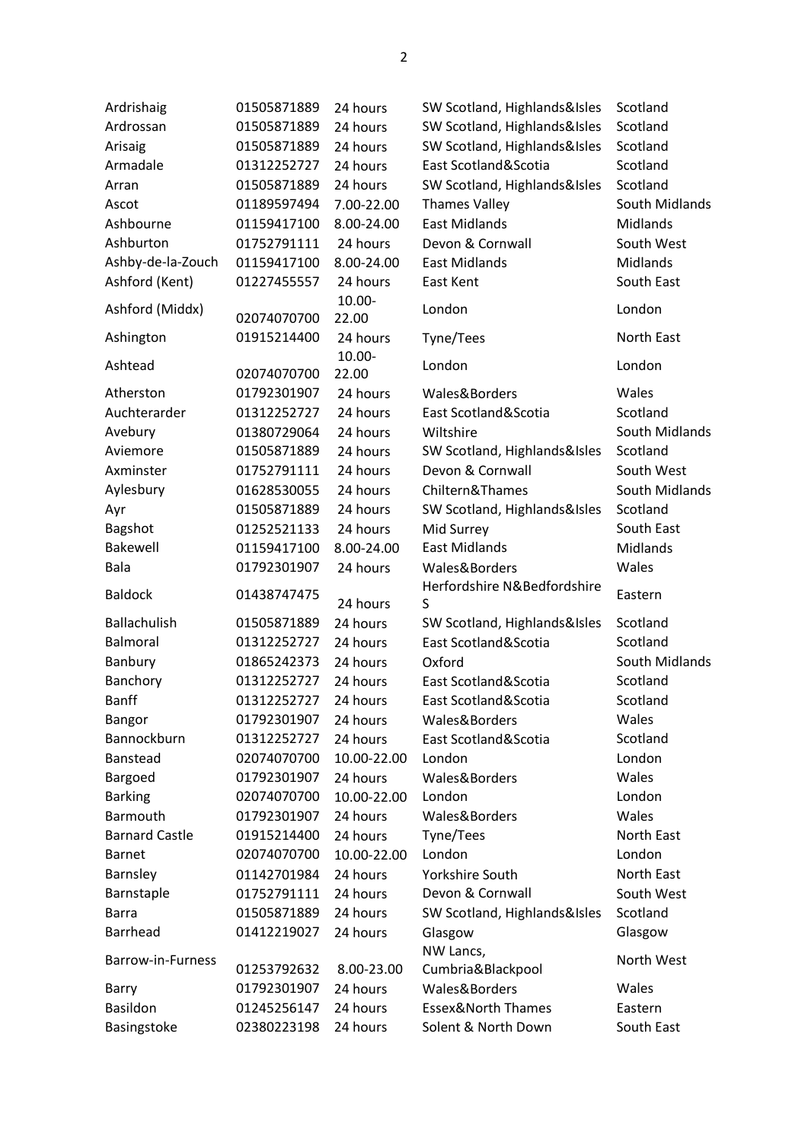| Ardrishaig            | 01505871889 | 24 hours           | SW Scotland, Highlands&Isles  | Scotland          |
|-----------------------|-------------|--------------------|-------------------------------|-------------------|
| Ardrossan             | 01505871889 | 24 hours           | SW Scotland, Highlands&Isles  | Scotland          |
| Arisaig               | 01505871889 | 24 hours           | SW Scotland, Highlands&Isles  | Scotland          |
| Armadale              | 01312252727 | 24 hours           | East Scotland&Scotia          | Scotland          |
| Arran                 | 01505871889 | 24 hours           | SW Scotland, Highlands&Isles  | Scotland          |
| Ascot                 | 01189597494 | 7.00-22.00         | <b>Thames Valley</b>          | South Midlands    |
| Ashbourne             | 01159417100 | 8.00-24.00         | <b>East Midlands</b>          | Midlands          |
| Ashburton             | 01752791111 | 24 hours           | Devon & Cornwall              | South West        |
| Ashby-de-la-Zouch     | 01159417100 | 8.00-24.00         | <b>East Midlands</b>          | Midlands          |
| Ashford (Kent)        | 01227455557 | 24 hours           | East Kent                     | South East        |
| Ashford (Middx)       |             | 10.00-             | London                        | London            |
|                       | 02074070700 | 22.00              |                               |                   |
| Ashington             | 01915214400 | 24 hours<br>10.00- | Tyne/Tees                     | North East        |
| Ashtead               | 02074070700 | 22.00              | London                        | London            |
| Atherston             | 01792301907 | 24 hours           | Wales&Borders                 | Wales             |
| Auchterarder          | 01312252727 | 24 hours           | East Scotland&Scotia          | Scotland          |
| Avebury               | 01380729064 | 24 hours           | Wiltshire                     | South Midlands    |
| Aviemore              | 01505871889 | 24 hours           | SW Scotland, Highlands&Isles  | Scotland          |
| Axminster             | 01752791111 | 24 hours           | Devon & Cornwall              | South West        |
| Aylesbury             | 01628530055 | 24 hours           | Chiltern&Thames               | South Midlands    |
| Ayr                   | 01505871889 | 24 hours           | SW Scotland, Highlands&Isles  | Scotland          |
| Bagshot               | 01252521133 | 24 hours           | Mid Surrey                    | South East        |
| Bakewell              | 01159417100 | 8.00-24.00         | <b>East Midlands</b>          | Midlands          |
| Bala                  | 01792301907 | 24 hours           | Wales&Borders                 | Wales             |
|                       |             |                    | Herfordshire N&Bedfordshire   |                   |
| <b>Baldock</b>        | 01438747475 | 24 hours           | S                             | Eastern           |
| Ballachulish          | 01505871889 | 24 hours           | SW Scotland, Highlands&Isles  | Scotland          |
| Balmoral              | 01312252727 | 24 hours           | East Scotland&Scotia          | Scotland          |
| Banbury               | 01865242373 | 24 hours           | Oxford                        | South Midlands    |
| Banchory              | 01312252727 | 24 hours           | East Scotland&Scotia          | Scotland          |
| <b>Banff</b>          | 01312252727 | 24 hours           | East Scotland&Scotia          | Scotland          |
| Bangor                | 01792301907 | 24 hours           | Wales&Borders                 | Wales             |
| Bannockburn           | 01312252727 | 24 hours           | East Scotland&Scotia          | Scotland          |
| Banstead              | 02074070700 | 10.00-22.00        | London                        | London            |
| Bargoed               | 01792301907 | 24 hours           | Wales&Borders                 | Wales             |
| <b>Barking</b>        | 02074070700 | 10.00-22.00        | London                        | London            |
| Barmouth              | 01792301907 | 24 hours           | Wales&Borders                 | Wales             |
| <b>Barnard Castle</b> | 01915214400 | 24 hours           | Tyne/Tees                     | North East        |
| <b>Barnet</b>         | 02074070700 | 10.00-22.00        | London                        | London            |
| Barnsley              | 01142701984 | 24 hours           | Yorkshire South               | <b>North East</b> |
| Barnstaple            | 01752791111 | 24 hours           | Devon & Cornwall              | South West        |
| <b>Barra</b>          | 01505871889 | 24 hours           | SW Scotland, Highlands&Isles  | Scotland          |
| <b>Barrhead</b>       | 01412219027 | 24 hours           | Glasgow                       | Glasgow           |
| Barrow-in-Furness     |             |                    | NW Lancs,                     | North West        |
|                       | 01253792632 | 8.00-23.00         | Cumbria&Blackpool             |                   |
| <b>Barry</b>          | 01792301907 | 24 hours           | Wales&Borders                 | Wales             |
| Basildon              | 01245256147 | 24 hours           | <b>Essex&amp;North Thames</b> | Eastern           |
| Basingstoke           | 02380223198 | 24 hours           | Solent & North Down           | South East        |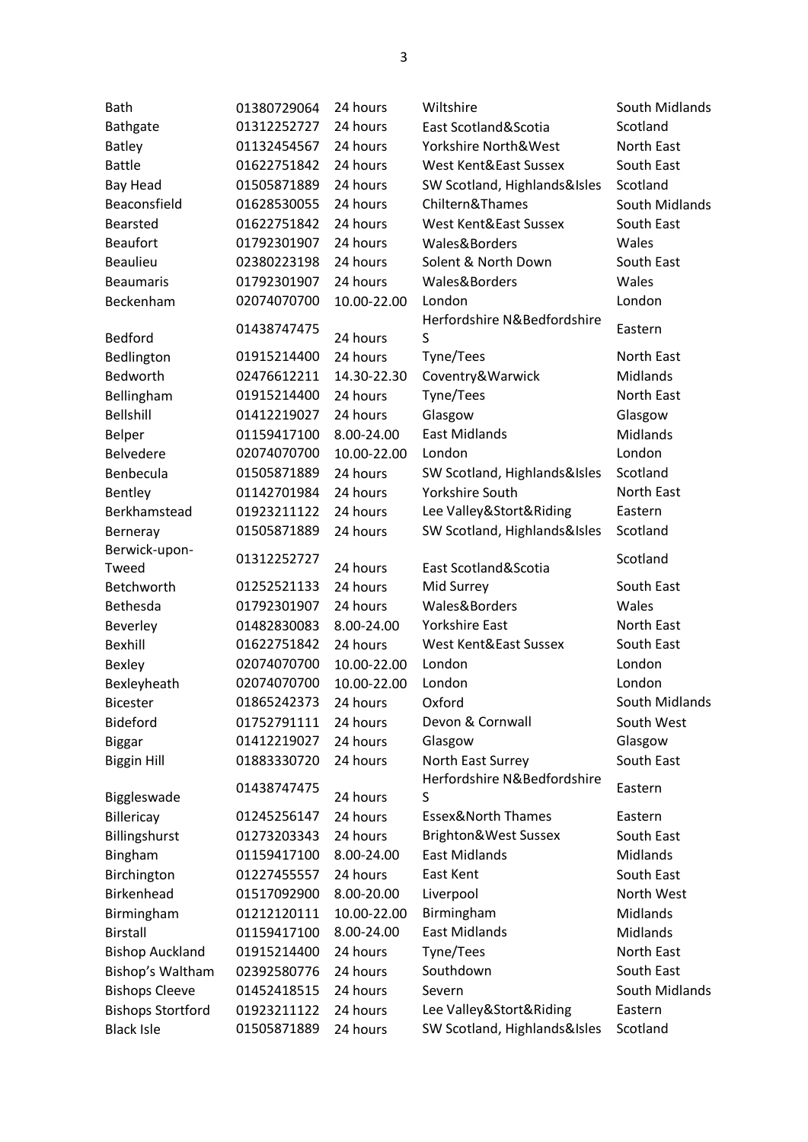| <b>Bath</b>              | 01380729064 | 24 hours    | Wiltshire                        | South Midlands |
|--------------------------|-------------|-------------|----------------------------------|----------------|
| Bathgate                 | 01312252727 | 24 hours    | East Scotland&Scotia             | Scotland       |
| <b>Batley</b>            | 01132454567 | 24 hours    | Yorkshire North&West             | North East     |
| <b>Battle</b>            | 01622751842 | 24 hours    | West Kent&East Sussex            | South East     |
| <b>Bay Head</b>          | 01505871889 | 24 hours    | SW Scotland, Highlands&Isles     | Scotland       |
| Beaconsfield             | 01628530055 | 24 hours    | Chiltern&Thames                  | South Midlands |
| <b>Bearsted</b>          | 01622751842 | 24 hours    | West Kent&East Sussex            | South East     |
| <b>Beaufort</b>          | 01792301907 | 24 hours    | Wales&Borders                    | Wales          |
| <b>Beaulieu</b>          | 02380223198 | 24 hours    | Solent & North Down              | South East     |
| <b>Beaumaris</b>         | 01792301907 | 24 hours    | Wales&Borders                    | Wales          |
| Beckenham                | 02074070700 | 10.00-22.00 | London                           | London         |
| <b>Bedford</b>           | 01438747475 | 24 hours    | Herfordshire N&Bedfordshire<br>S | Eastern        |
| Bedlington               | 01915214400 | 24 hours    | Tyne/Tees                        | North East     |
| Bedworth                 | 02476612211 | 14.30-22.30 | Coventry&Warwick                 | Midlands       |
| Bellingham               | 01915214400 | 24 hours    | Tyne/Tees                        | North East     |
| <b>Bellshill</b>         | 01412219027 | 24 hours    | Glasgow                          | Glasgow        |
| Belper                   | 01159417100 | 8.00-24.00  | <b>East Midlands</b>             | Midlands       |
| Belvedere                | 02074070700 | 10.00-22.00 | London                           | London         |
| Benbecula                | 01505871889 | 24 hours    | SW Scotland, Highlands&Isles     | Scotland       |
| Bentley                  | 01142701984 | 24 hours    | <b>Yorkshire South</b>           | North East     |
| Berkhamstead             | 01923211122 | 24 hours    | Lee Valley&Stort&Riding          | Eastern        |
| Berneray                 | 01505871889 | 24 hours    | SW Scotland, Highlands&Isles     | Scotland       |
| Berwick-upon-            | 01312252727 |             |                                  | Scotland       |
| Tweed                    |             | 24 hours    | East Scotland&Scotia             |                |
| Betchworth               | 01252521133 | 24 hours    | Mid Surrey                       | South East     |
| Bethesda                 | 01792301907 | 24 hours    | Wales&Borders                    | Wales          |
| Beverley                 | 01482830083 | 8.00-24.00  | <b>Yorkshire East</b>            | North East     |
| <b>Bexhill</b>           | 01622751842 | 24 hours    | West Kent&East Sussex            | South East     |
| Bexley                   | 02074070700 | 10.00-22.00 | London                           | London         |
| Bexleyheath              | 02074070700 | 10.00-22.00 | London                           | London         |
| <b>Bicester</b>          | 01865242373 | 24 hours    | Oxford                           | South Midlands |
| Bideford                 | 01752791111 | 24 hours    | Devon & Cornwall                 | South West     |
| <b>Biggar</b>            | 01412219027 | 24 hours    | Glasgow                          | Glasgow        |
| <b>Biggin Hill</b>       | 01883330720 | 24 hours    | North East Surrey                | South East     |
| Biggleswade              | 01438747475 | 24 hours    | Herfordshire N&Bedfordshire<br>S | Eastern        |
| Billericay               | 01245256147 | 24 hours    | <b>Essex&amp;North Thames</b>    | Eastern        |
| Billingshurst            | 01273203343 | 24 hours    | Brighton&West Sussex             | South East     |
| Bingham                  | 01159417100 | 8.00-24.00  | <b>East Midlands</b>             | Midlands       |
| Birchington              | 01227455557 | 24 hours    | East Kent                        | South East     |
| <b>Birkenhead</b>        | 01517092900 | 8.00-20.00  | Liverpool                        | North West     |
| Birmingham               | 01212120111 | 10.00-22.00 | Birmingham                       | Midlands       |
| <b>Birstall</b>          | 01159417100 | 8.00-24.00  | <b>East Midlands</b>             | Midlands       |
| <b>Bishop Auckland</b>   | 01915214400 | 24 hours    | Tyne/Tees                        | North East     |
| Bishop's Waltham         | 02392580776 | 24 hours    | Southdown                        | South East     |
| <b>Bishops Cleeve</b>    | 01452418515 | 24 hours    | Severn                           | South Midlands |
| <b>Bishops Stortford</b> | 01923211122 | 24 hours    | Lee Valley&Stort&Riding          | Eastern        |
| <b>Black Isle</b>        | 01505871889 | 24 hours    | SW Scotland, Highlands&Isles     | Scotland       |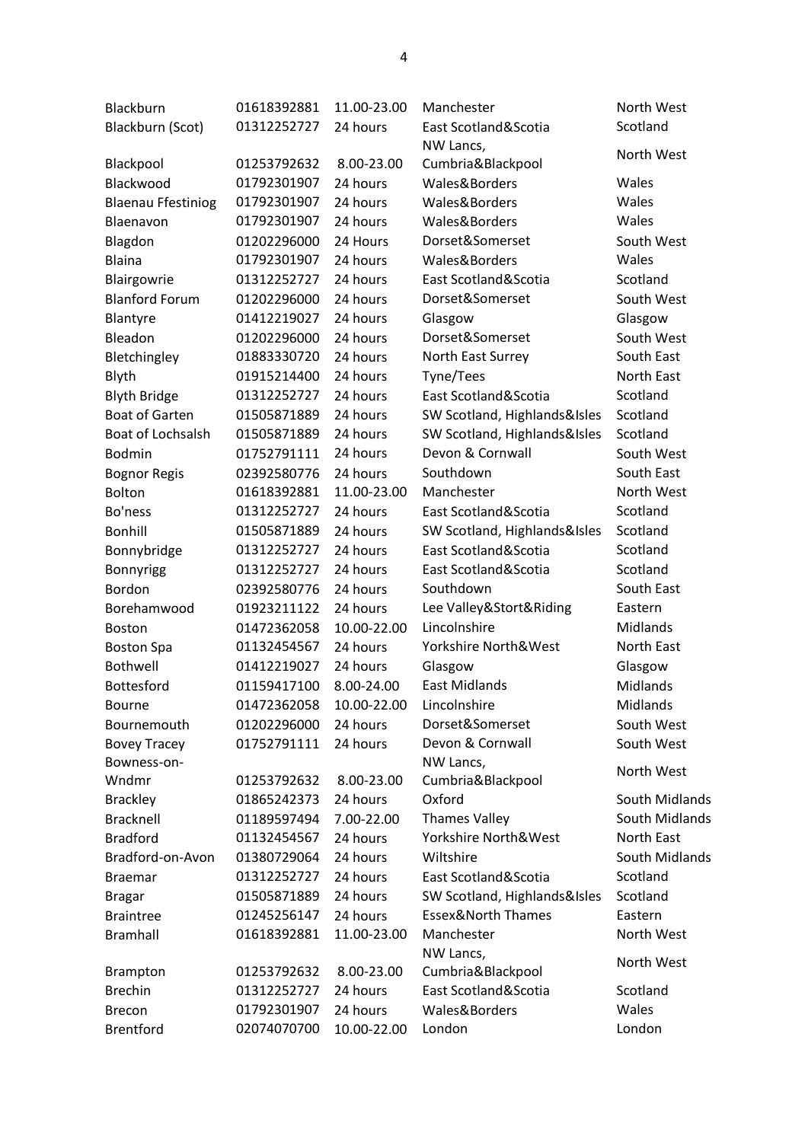| Blackburn                         | 01618392881                | 11.00-23.00 | Manchester                                | North West        |
|-----------------------------------|----------------------------|-------------|-------------------------------------------|-------------------|
| Blackburn (Scot)                  | 01312252727                | 24 hours    | East Scotland&Scotia                      | Scotland          |
|                                   |                            |             | NW Lancs,                                 | North West        |
| Blackpool                         | 01253792632                | 8.00-23.00  | Cumbria&Blackpool                         |                   |
| Blackwood                         | 01792301907                | 24 hours    | Wales&Borders                             | Wales             |
| <b>Blaenau Ffestiniog</b>         | 01792301907                | 24 hours    | Wales&Borders                             | Wales             |
| Blaenavon                         | 01792301907                | 24 hours    | Wales&Borders                             | Wales             |
| Blagdon                           | 01202296000                | 24 Hours    | Dorset&Somerset                           | South West        |
| Blaina                            | 01792301907                | 24 hours    | Wales&Borders                             | Wales             |
| Blairgowrie                       | 01312252727                | 24 hours    | East Scotland&Scotia                      | Scotland          |
| <b>Blanford Forum</b>             | 01202296000                | 24 hours    | Dorset&Somerset                           | South West        |
| Blantyre                          | 01412219027                | 24 hours    | Glasgow                                   | Glasgow           |
| Bleadon                           | 01202296000                | 24 hours    | Dorset&Somerset                           | South West        |
| Bletchingley                      | 01883330720                | 24 hours    | North East Surrey                         | South East        |
| Blyth                             | 01915214400                | 24 hours    | Tyne/Tees                                 | <b>North East</b> |
| <b>Blyth Bridge</b>               | 01312252727                | 24 hours    | East Scotland&Scotia                      | Scotland          |
| <b>Boat of Garten</b>             | 01505871889                | 24 hours    | SW Scotland, Highlands&Isles              | Scotland          |
| Boat of Lochsalsh                 | 01505871889                | 24 hours    | SW Scotland, Highlands&Isles              | Scotland          |
| <b>Bodmin</b>                     | 01752791111                | 24 hours    | Devon & Cornwall                          | South West        |
| <b>Bognor Regis</b>               | 02392580776                | 24 hours    | Southdown                                 | South East        |
| Bolton                            | 01618392881                | 11.00-23.00 | Manchester                                | North West        |
| Bo'ness                           | 01312252727                | 24 hours    | East Scotland&Scotia                      | Scotland          |
| Bonhill                           | 01505871889                | 24 hours    | SW Scotland, Highlands&Isles              | Scotland          |
| Bonnybridge                       | 01312252727                | 24 hours    | East Scotland&Scotia                      | Scotland          |
| Bonnyrigg                         | 01312252727                | 24 hours    | East Scotland&Scotia                      | Scotland          |
| Bordon                            | 02392580776                | 24 hours    | Southdown                                 | South East        |
| Borehamwood                       | 01923211122                | 24 hours    | Lee Valley&Stort&Riding                   | Eastern           |
| <b>Boston</b>                     | 01472362058                | 10.00-22.00 | Lincolnshire                              | Midlands          |
| <b>Boston Spa</b>                 | 01132454567                | 24 hours    | Yorkshire North&West                      | North East        |
| Bothwell                          | 01412219027                | 24 hours    | Glasgow                                   | Glasgow           |
| Bottesford                        | 01159417100                | 8.00-24.00  | <b>East Midlands</b>                      | Midlands          |
| Bourne                            | 01472362058                | 10.00-22.00 | Lincolnshire                              | Midlands          |
| Bournemouth                       | 01202296000                | 24 hours    | Dorset&Somerset                           | South West        |
| <b>Bovey Tracey</b>               | 01752791111                | 24 hours    | Devon & Cornwall                          | South West        |
| Bowness-on-                       |                            |             | NW Lancs,                                 |                   |
| Wndmr                             | 01253792632                | 8.00-23.00  | Cumbria&Blackpool                         | North West        |
| <b>Brackley</b>                   | 01865242373                | 24 hours    | Oxford                                    | South Midlands    |
| <b>Bracknell</b>                  | 01189597494                | 7.00-22.00  | <b>Thames Valley</b>                      | South Midlands    |
| <b>Bradford</b>                   | 01132454567                | 24 hours    | Yorkshire North&West                      | North East        |
| Bradford-on-Avon                  | 01380729064                | 24 hours    | Wiltshire                                 | South Midlands    |
| <b>Braemar</b>                    | 01312252727                | 24 hours    | East Scotland&Scotia                      | Scotland          |
|                                   | 01505871889                | 24 hours    | SW Scotland, Highlands&Isles              | Scotland          |
| <b>Bragar</b>                     | 01245256147                | 24 hours    | <b>Essex&amp;North Thames</b>             | Eastern           |
| <b>Braintree</b>                  |                            |             | Manchester                                | North West        |
| <b>Bramhall</b>                   | 01618392881                | 11.00-23.00 |                                           |                   |
|                                   |                            | 8.00-23.00  | NW Lancs,                                 | North West        |
| <b>Brampton</b><br><b>Brechin</b> | 01253792632<br>01312252727 | 24 hours    | Cumbria&Blackpool<br>East Scotland&Scotia | Scotland          |
|                                   |                            |             |                                           | Wales             |
| Brecon                            | 01792301907                | 24 hours    | Wales&Borders                             |                   |
| <b>Brentford</b>                  | 02074070700                | 10.00-22.00 | London                                    | London            |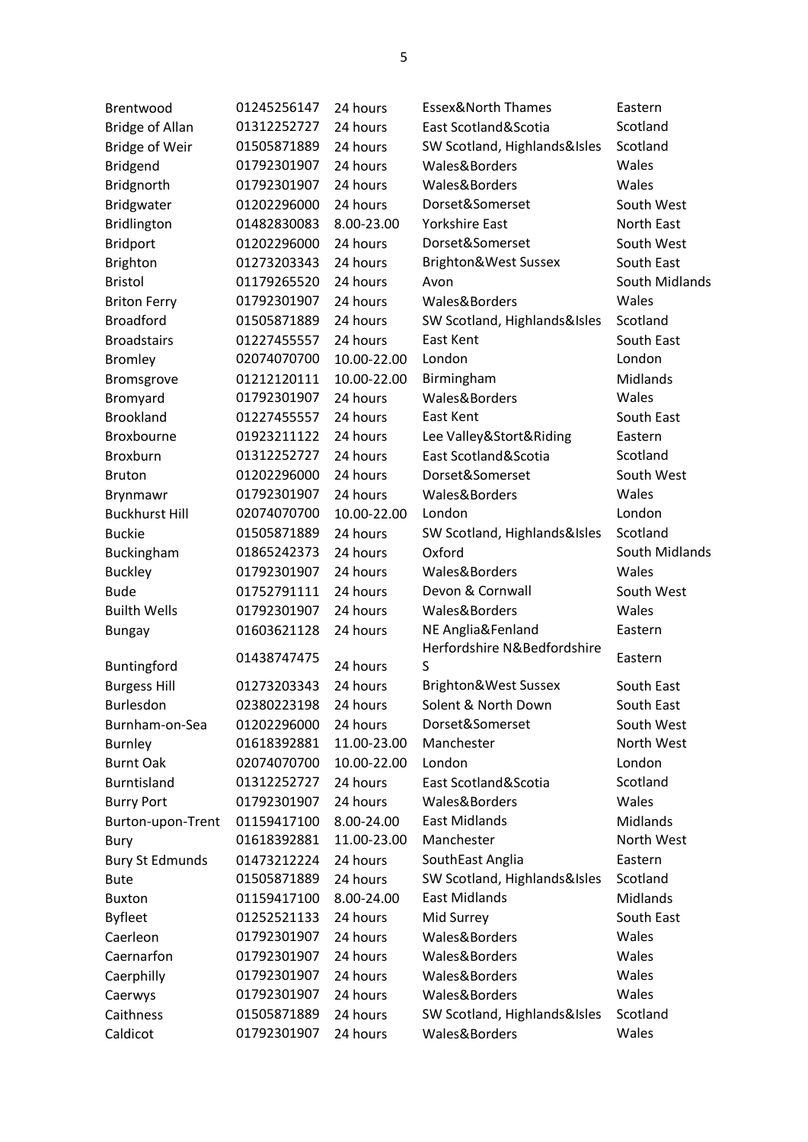| Brentwood              | 01245256147 | 24 hours    | <b>Essex&amp;North Thames</b> | Eastern         |
|------------------------|-------------|-------------|-------------------------------|-----------------|
| <b>Bridge of Allan</b> | 01312252727 | 24 hours    | East Scotland&Scotia          | Scotland        |
| <b>Bridge of Weir</b>  | 01505871889 | 24 hours    | SW Scotland, Highlands&Isles  | Scotland        |
| <b>Bridgend</b>        | 01792301907 | 24 hours    | Wales&Borders                 | Wales           |
| Bridgnorth             | 01792301907 | 24 hours    | Wales&Borders                 | Wales           |
| Bridgwater             | 01202296000 | 24 hours    | Dorset&Somerset               | South West      |
| Bridlington            | 01482830083 | 8.00-23.00  | <b>Yorkshire East</b>         | North East      |
| <b>Bridport</b>        | 01202296000 | 24 hours    | Dorset&Somerset               | South West      |
| <b>Brighton</b>        | 01273203343 | 24 hours    | Brighton&West Sussex          | South East      |
| <b>Bristol</b>         | 01179265520 | 24 hours    | Avon                          | South Midlands  |
| <b>Briton Ferry</b>    | 01792301907 | 24 hours    | Wales&Borders                 | Wales           |
| <b>Broadford</b>       | 01505871889 | 24 hours    | SW Scotland, Highlands&Isles  | Scotland        |
| <b>Broadstairs</b>     | 01227455557 | 24 hours    | East Kent                     | South East      |
| <b>Bromley</b>         | 02074070700 | 10.00-22.00 | London                        | London          |
| Bromsgrove             | 01212120111 | 10.00-22.00 | Birmingham                    | Midlands        |
| Bromyard               | 01792301907 | 24 hours    | Wales&Borders                 | Wales           |
| <b>Brookland</b>       | 01227455557 | 24 hours    | East Kent                     | South East      |
| <b>Broxbourne</b>      | 01923211122 | 24 hours    | Lee Valley&Stort&Riding       | Eastern         |
| Broxburn               | 01312252727 | 24 hours    | East Scotland&Scotia          | Scotland        |
| <b>Bruton</b>          | 01202296000 | 24 hours    | Dorset&Somerset               | South West      |
| Brynmawr               | 01792301907 | 24 hours    | Wales&Borders                 | Wales           |
| <b>Buckhurst Hill</b>  | 02074070700 | 10.00-22.00 | London                        | London          |
| <b>Buckie</b>          | 01505871889 | 24 hours    | SW Scotland, Highlands&Isles  | Scotland        |
| Buckingham             | 01865242373 | 24 hours    | Oxford                        | South Midlands  |
| <b>Buckley</b>         | 01792301907 | 24 hours    | Wales&Borders                 | Wales           |
| <b>Bude</b>            | 01752791111 | 24 hours    | Devon & Cornwall              | South West      |
| <b>Builth Wells</b>    | 01792301907 | 24 hours    | Wales&Borders                 | Wales           |
| <b>Bungay</b>          | 01603621128 | 24 hours    | NE Anglia&Fenland             | Eastern         |
|                        |             |             | Herfordshire N&Bedfordshire   |                 |
| Buntingford            | 01438747475 | 24 hours    | S                             | Eastern         |
| <b>Burgess Hill</b>    | 01273203343 | 24 hours    | Brighton&West Sussex          | South East      |
| Burlesdon              | 02380223198 | 24 hours    | Solent & North Down           | South East      |
| Burnham-on-Sea         | 01202296000 | 24 hours    | Dorset&Somerset               | South West      |
| <b>Burnley</b>         | 01618392881 | 11.00-23.00 | Manchester                    | North West      |
| <b>Burnt Oak</b>       | 02074070700 | 10.00-22.00 | London                        | London          |
| Burntisland            | 01312252727 | 24 hours    | East Scotland&Scotia          | Scotland        |
| <b>Burry Port</b>      | 01792301907 | 24 hours    | Wales&Borders                 | Wales           |
| Burton-upon-Trent      | 01159417100 | 8.00-24.00  | <b>East Midlands</b>          | <b>Midlands</b> |
| Bury                   | 01618392881 | 11.00-23.00 | Manchester                    | North West      |
| <b>Bury St Edmunds</b> | 01473212224 | 24 hours    | SouthEast Anglia              | Eastern         |
| <b>Bute</b>            | 01505871889 | 24 hours    | SW Scotland, Highlands&Isles  | Scotland        |
| <b>Buxton</b>          | 01159417100 | 8.00-24.00  | <b>East Midlands</b>          | <b>Midlands</b> |
| <b>Byfleet</b>         | 01252521133 | 24 hours    | Mid Surrey                    | South East      |
| Caerleon               | 01792301907 | 24 hours    | Wales&Borders                 | Wales           |
| Caernarfon             | 01792301907 | 24 hours    | Wales&Borders                 | Wales           |
| Caerphilly             | 01792301907 | 24 hours    | Wales&Borders                 | Wales           |
| Caerwys                | 01792301907 | 24 hours    | Wales&Borders                 | Wales           |
| Caithness              | 01505871889 | 24 hours    | SW Scotland, Highlands&Isles  | Scotland        |
| Caldicot               | 01792301907 | 24 hours    | Wales&Borders                 | Wales           |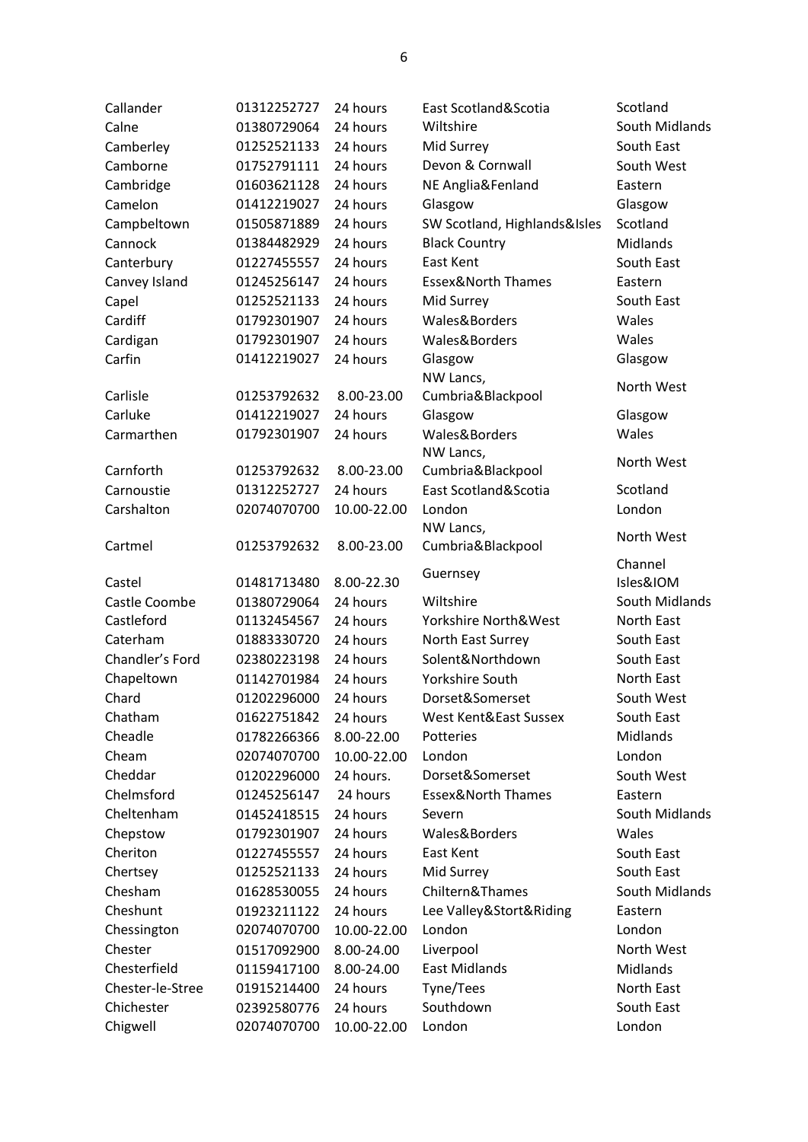| Callander        | 01312252727 | 24 hours    | East Scotland&Scotia          | Scotland        |
|------------------|-------------|-------------|-------------------------------|-----------------|
| Calne            | 01380729064 | 24 hours    | Wiltshire                     | South Midlands  |
| Camberley        | 01252521133 | 24 hours    | Mid Surrey                    | South East      |
| Camborne         | 01752791111 | 24 hours    | Devon & Cornwall              | South West      |
| Cambridge        | 01603621128 | 24 hours    | NE Anglia&Fenland             | Eastern         |
| Camelon          | 01412219027 | 24 hours    | Glasgow                       | Glasgow         |
| Campbeltown      | 01505871889 | 24 hours    | SW Scotland, Highlands&Isles  | Scotland        |
| Cannock          | 01384482929 | 24 hours    | <b>Black Country</b>          | <b>Midlands</b> |
| Canterbury       | 01227455557 | 24 hours    | East Kent                     | South East      |
| Canvey Island    | 01245256147 | 24 hours    | Essex&North Thames            | Eastern         |
| Capel            | 01252521133 | 24 hours    | Mid Surrey                    | South East      |
| Cardiff          | 01792301907 | 24 hours    | Wales&Borders                 | Wales           |
| Cardigan         | 01792301907 | 24 hours    | Wales&Borders                 | Wales           |
| Carfin           | 01412219027 | 24 hours    | Glasgow                       | Glasgow         |
|                  |             |             | NW Lancs,                     |                 |
| Carlisle         | 01253792632 | 8.00-23.00  | Cumbria&Blackpool             | North West      |
| Carluke          | 01412219027 | 24 hours    | Glasgow                       | Glasgow         |
| Carmarthen       | 01792301907 | 24 hours    | Wales&Borders                 | Wales           |
|                  |             |             | NW Lancs,                     |                 |
| Carnforth        | 01253792632 | 8.00-23.00  | Cumbria&Blackpool             | North West      |
| Carnoustie       | 01312252727 | 24 hours    | East Scotland&Scotia          | Scotland        |
| Carshalton       | 02074070700 | 10.00-22.00 | London                        | London          |
|                  |             |             | NW Lancs,                     |                 |
| Cartmel          | 01253792632 | 8.00-23.00  | Cumbria&Blackpool             | North West      |
|                  |             |             |                               |                 |
|                  |             |             |                               | Channel         |
| Castel           | 01481713480 | 8.00-22.30  | Guernsey                      | Isles&IOM       |
| Castle Coombe    | 01380729064 | 24 hours    | Wiltshire                     | South Midlands  |
| Castleford       | 01132454567 | 24 hours    | Yorkshire North&West          | North East      |
| Caterham         | 01883330720 | 24 hours    | North East Surrey             | South East      |
| Chandler's Ford  | 02380223198 | 24 hours    | Solent&Northdown              | South East      |
| Chapeltown       | 01142701984 | 24 hours    | Yorkshire South               | North East      |
| Chard            | 01202296000 | 24 hours    | Dorset&Somerset               | South West      |
| Chatham          | 01622751842 | 24 hours    | West Kent&East Sussex         | South East      |
| Cheadle          | 01782266366 | 8.00-22.00  | Potteries                     | Midlands        |
| Cheam            | 02074070700 | 10.00-22.00 | London                        | London          |
| Cheddar          | 01202296000 | 24 hours.   | Dorset&Somerset               | South West      |
| Chelmsford       | 01245256147 | 24 hours    | <b>Essex&amp;North Thames</b> | Eastern         |
| Cheltenham       | 01452418515 | 24 hours    | Severn                        | South Midlands  |
| Chepstow         | 01792301907 | 24 hours    | Wales&Borders                 | Wales           |
| Cheriton         | 01227455557 | 24 hours    | East Kent                     | South East      |
| Chertsey         | 01252521133 | 24 hours    | Mid Surrey                    | South East      |
| Chesham          | 01628530055 | 24 hours    | Chiltern&Thames               | South Midlands  |
| Cheshunt         | 01923211122 | 24 hours    | Lee Valley&Stort&Riding       | Eastern         |
| Chessington      | 02074070700 | 10.00-22.00 | London                        | London          |
| Chester          | 01517092900 | 8.00-24.00  | Liverpool                     | North West      |
| Chesterfield     | 01159417100 | 8.00-24.00  | <b>East Midlands</b>          | Midlands        |
| Chester-le-Stree | 01915214400 | 24 hours    | Tyne/Tees                     | North East      |
| Chichester       | 02392580776 | 24 hours    | Southdown                     | South East      |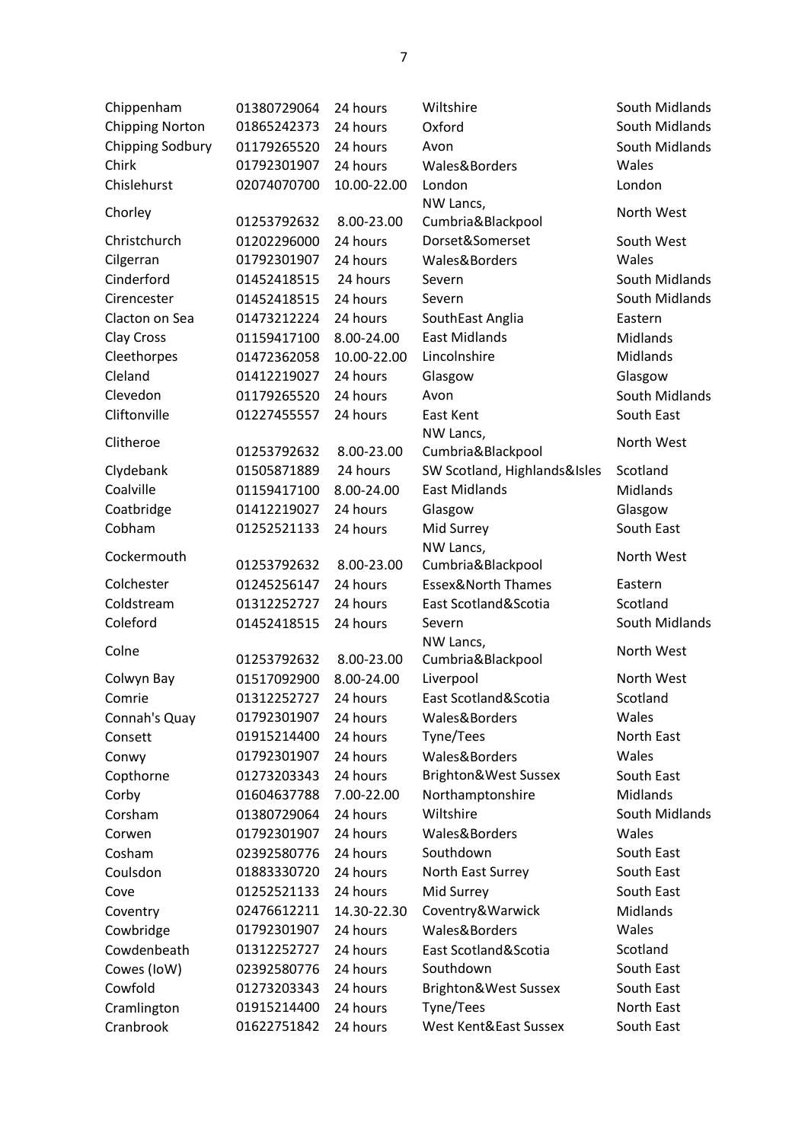| Chippenham             | 01380729064 | 24 hours    | Wiltshire                     | South Midlands  |
|------------------------|-------------|-------------|-------------------------------|-----------------|
| <b>Chipping Norton</b> | 01865242373 | 24 hours    | Oxford                        | South Midlands  |
| Chipping Sodbury       | 01179265520 | 24 hours    | Avon                          | South Midlands  |
| Chirk                  | 01792301907 | 24 hours    | Wales&Borders                 | Wales           |
| Chislehurst            | 02074070700 | 10.00-22.00 | London                        | London          |
| Chorley                |             |             | NW Lancs,                     | North West      |
|                        | 01253792632 | 8.00-23.00  | Cumbria&Blackpool             |                 |
| Christchurch           | 01202296000 | 24 hours    | Dorset&Somerset               | South West      |
| Cilgerran              | 01792301907 | 24 hours    | Wales&Borders                 | Wales           |
| Cinderford             | 01452418515 | 24 hours    | Severn                        | South Midlands  |
| Cirencester            | 01452418515 | 24 hours    | Severn                        | South Midlands  |
| Clacton on Sea         | 01473212224 | 24 hours    | SouthEast Anglia              | Eastern         |
| Clay Cross             | 01159417100 | 8.00-24.00  | <b>East Midlands</b>          | <b>Midlands</b> |
| Cleethorpes            | 01472362058 | 10.00-22.00 | Lincolnshire                  | Midlands        |
| Cleland                | 01412219027 | 24 hours    | Glasgow                       | Glasgow         |
| Clevedon               | 01179265520 | 24 hours    | Avon                          | South Midlands  |
| Cliftonville           | 01227455557 | 24 hours    | East Kent                     | South East      |
|                        |             |             | NW Lancs,                     |                 |
| Clitheroe              | 01253792632 | 8.00-23.00  | Cumbria&Blackpool             | North West      |
| Clydebank              | 01505871889 | 24 hours    | SW Scotland, Highlands&Isles  | Scotland        |
| Coalville              | 01159417100 | 8.00-24.00  | <b>East Midlands</b>          | <b>Midlands</b> |
| Coatbridge             | 01412219027 | 24 hours    | Glasgow                       | Glasgow         |
| Cobham                 | 01252521133 | 24 hours    | Mid Surrey                    | South East      |
|                        |             |             | NW Lancs,                     |                 |
| Cockermouth            | 01253792632 | 8.00-23.00  | Cumbria&Blackpool             | North West      |
| Colchester             | 01245256147 | 24 hours    | <b>Essex&amp;North Thames</b> | Eastern         |
| Coldstream             | 01312252727 | 24 hours    | East Scotland&Scotia          | Scotland        |
| Coleford               | 01452418515 | 24 hours    | Severn                        | South Midlands  |
| Colne                  |             |             | NW Lancs,                     | North West      |
|                        | 01253792632 | 8.00-23.00  | Cumbria&Blackpool             |                 |
| Colwyn Bay             | 01517092900 | 8.00-24.00  | Liverpool                     | North West      |
| Comrie                 | 01312252727 | 24 hours    | East Scotland&Scotia          | Scotland        |
| Connah's Quay          | 01792301907 | 24 hours    | Wales&Borders                 | Wales           |
| Consett                | 01915214400 | 24 hours    | Tyne/Tees                     | North East      |
| Conwy                  | 01792301907 | 24 hours    | Wales&Borders                 | Wales           |
| Copthorne              | 01273203343 | 24 hours    | Brighton&West Sussex          | South East      |
| Corby                  | 01604637788 | 7.00-22.00  | Northamptonshire              | Midlands        |
| Corsham                | 01380729064 | 24 hours    | Wiltshire                     | South Midlands  |
| Corwen                 | 01792301907 | 24 hours    | Wales&Borders                 | Wales           |
| Cosham                 | 02392580776 | 24 hours    | Southdown                     | South East      |
| Coulsdon               | 01883330720 | 24 hours    | North East Surrey             | South East      |
| Cove                   | 01252521133 | 24 hours    | Mid Surrey                    | South East      |
| Coventry               | 02476612211 | 14.30-22.30 | Coventry&Warwick              | Midlands        |
| Cowbridge              | 01792301907 | 24 hours    | Wales&Borders                 | Wales           |
| Cowdenbeath            | 01312252727 | 24 hours    | East Scotland&Scotia          | Scotland        |
| Cowes (IoW)            | 02392580776 | 24 hours    | Southdown                     | South East      |
| Cowfold                | 01273203343 | 24 hours    | Brighton&West Sussex          | South East      |
| Cramlington            | 01915214400 | 24 hours    | Tyne/Tees                     | North East      |
| Cranbrook              | 01622751842 | 24 hours    | West Kent&East Sussex         | South East      |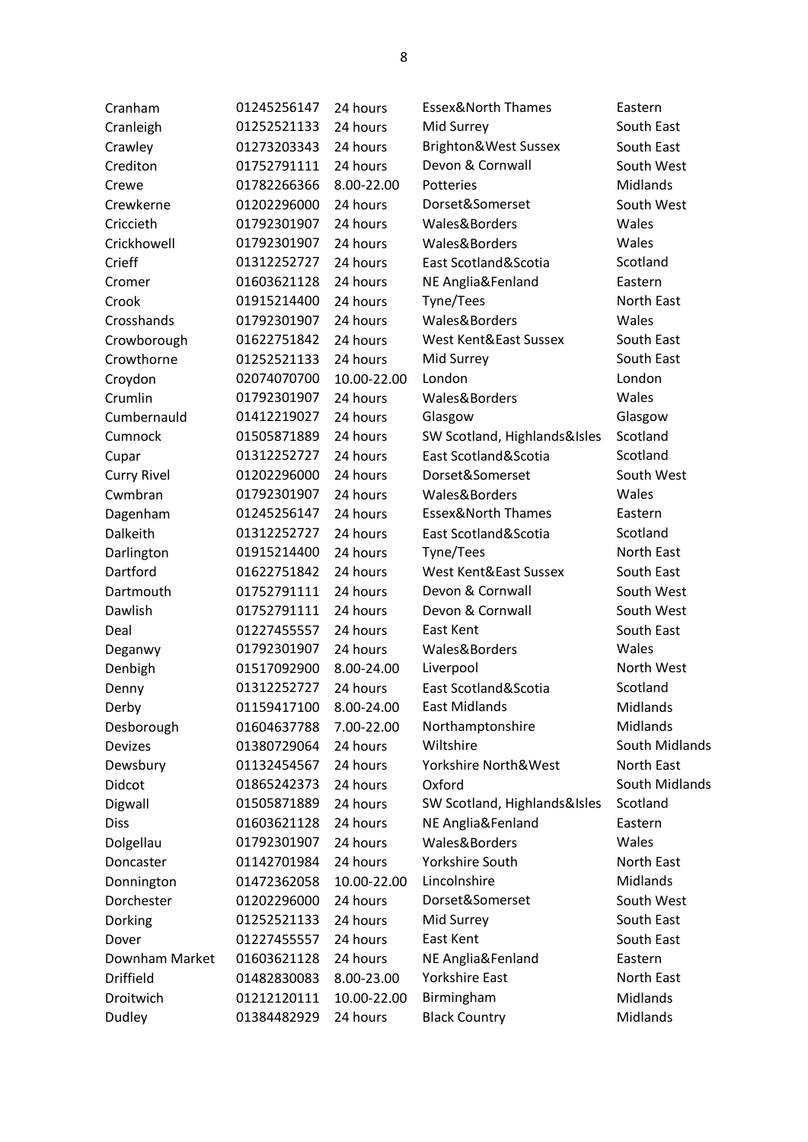| Cranham            | 01245256147 | 24 hours    | <b>Essex&amp;North Thames</b> | Eastern         |
|--------------------|-------------|-------------|-------------------------------|-----------------|
| Cranleigh          | 01252521133 | 24 hours    | Mid Surrey                    | South East      |
| Crawley            | 01273203343 | 24 hours    | Brighton&West Sussex          | South East      |
| Crediton           | 01752791111 | 24 hours    | Devon & Cornwall              | South West      |
| Crewe              | 01782266366 | 8.00-22.00  | Potteries                     | Midlands        |
| Crewkerne          | 01202296000 | 24 hours    | Dorset&Somerset               | South West      |
| Criccieth          | 01792301907 | 24 hours    | Wales&Borders                 | Wales           |
| Crickhowell        | 01792301907 | 24 hours    | Wales&Borders                 | Wales           |
| Crieff             | 01312252727 | 24 hours    | East Scotland&Scotia          | Scotland        |
| Cromer             | 01603621128 | 24 hours    | NE Anglia&Fenland             | Eastern         |
| Crook              | 01915214400 | 24 hours    | Tyne/Tees                     | North East      |
| Crosshands         | 01792301907 | 24 hours    | Wales&Borders                 | Wales           |
| Crowborough        | 01622751842 | 24 hours    | West Kent&East Sussex         | South East      |
| Crowthorne         | 01252521133 | 24 hours    | Mid Surrey                    | South East      |
| Croydon            | 02074070700 | 10.00-22.00 | London                        | London          |
| Crumlin            | 01792301907 | 24 hours    | Wales&Borders                 | Wales           |
| Cumbernauld        | 01412219027 | 24 hours    | Glasgow                       | Glasgow         |
| Cumnock            | 01505871889 | 24 hours    | SW Scotland, Highlands&Isles  | Scotland        |
| Cupar              | 01312252727 | 24 hours    | East Scotland&Scotia          | Scotland        |
| <b>Curry Rivel</b> | 01202296000 | 24 hours    | Dorset&Somerset               | South West      |
| Cwmbran            | 01792301907 | 24 hours    | Wales&Borders                 | Wales           |
| Dagenham           | 01245256147 | 24 hours    | <b>Essex&amp;North Thames</b> | Eastern         |
| Dalkeith           | 01312252727 | 24 hours    | East Scotland&Scotia          | Scotland        |
| Darlington         | 01915214400 | 24 hours    | Tyne/Tees                     | North East      |
| Dartford           | 01622751842 | 24 hours    | West Kent&East Sussex         | South East      |
| Dartmouth          | 01752791111 | 24 hours    | Devon & Cornwall              | South West      |
| Dawlish            | 01752791111 | 24 hours    | Devon & Cornwall              | South West      |
| Deal               | 01227455557 | 24 hours    | East Kent                     | South East      |
| Deganwy            | 01792301907 | 24 hours    | Wales&Borders                 | Wales           |
| Denbigh            | 01517092900 | 8.00-24.00  | Liverpool                     | North West      |
| Denny              | 01312252727 | 24 hours    | East Scotland&Scotia          | Scotland        |
| Derby              | 01159417100 | 8.00-24.00  | East Midlands                 | Midlands        |
| Desborough         | 01604637788 | 7.00-22.00  | Northamptonshire              | Midlands        |
| Devizes            | 01380729064 | 24 hours    | Wiltshire                     | South Midlands  |
| Dewsbury           | 01132454567 | 24 hours    | Yorkshire North&West          | North East      |
| Didcot             | 01865242373 | 24 hours    | Oxford                        | South Midlands  |
| Digwall            | 01505871889 | 24 hours    | SW Scotland, Highlands&Isles  | Scotland        |
| <b>Diss</b>        | 01603621128 | 24 hours    | NE Anglia&Fenland             | Eastern         |
| Dolgellau          | 01792301907 | 24 hours    | Wales&Borders                 | Wales           |
| Doncaster          | 01142701984 | 24 hours    | Yorkshire South               | North East      |
| Donnington         | 01472362058 | 10.00-22.00 | Lincolnshire                  | <b>Midlands</b> |
| Dorchester         | 01202296000 | 24 hours    | Dorset&Somerset               | South West      |
| Dorking            | 01252521133 | 24 hours    | Mid Surrey                    | South East      |
| Dover              | 01227455557 | 24 hours    | East Kent                     | South East      |
| Downham Market     | 01603621128 | 24 hours    | NE Anglia&Fenland             | Eastern         |
| <b>Driffield</b>   | 01482830083 | 8.00-23.00  | Yorkshire East                | North East      |
| Droitwich          | 01212120111 | 10.00-22.00 | Birmingham                    | Midlands        |
| Dudley             | 01384482929 | 24 hours    | <b>Black Country</b>          | Midlands        |
|                    |             |             |                               |                 |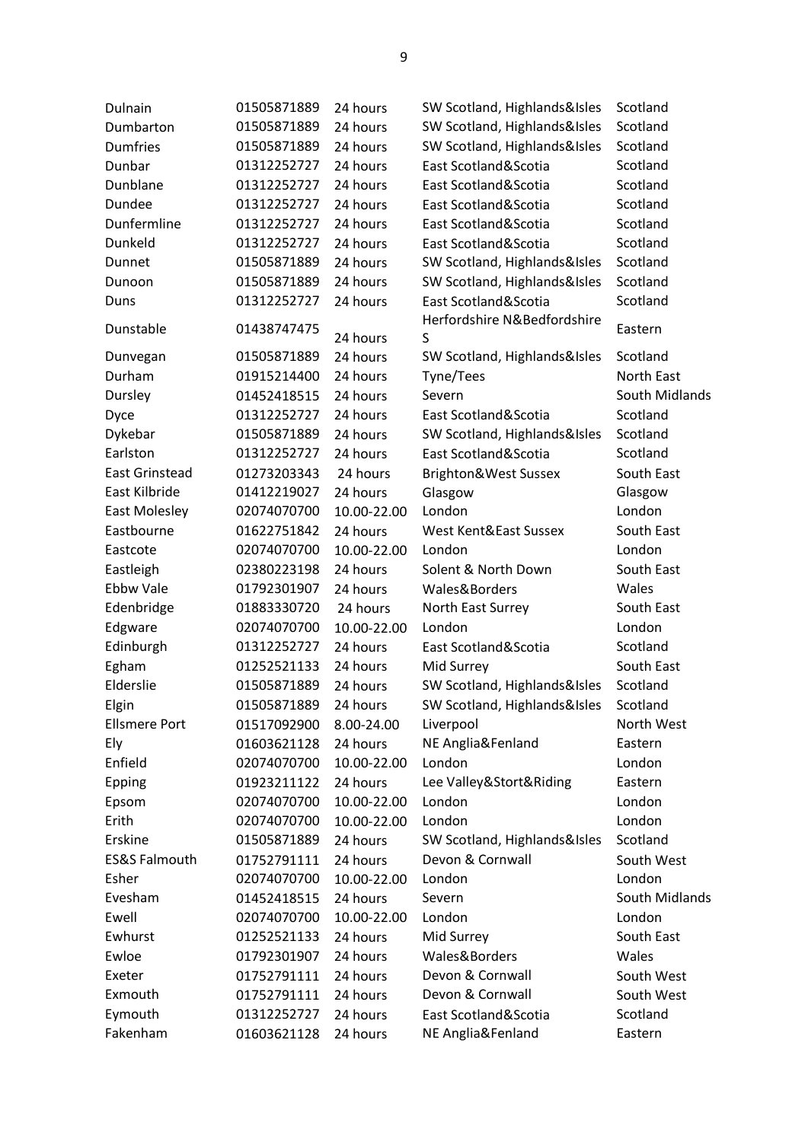| Dulnain                  | 01505871889 | 24 hours    | SW Scotland, Highlands&Isles     | Scotland       |
|--------------------------|-------------|-------------|----------------------------------|----------------|
| Dumbarton                | 01505871889 | 24 hours    | SW Scotland, Highlands&Isles     | Scotland       |
| <b>Dumfries</b>          | 01505871889 | 24 hours    | SW Scotland, Highlands&Isles     | Scotland       |
| Dunbar                   | 01312252727 | 24 hours    | East Scotland&Scotia             | Scotland       |
| Dunblane                 | 01312252727 | 24 hours    | East Scotland&Scotia             | Scotland       |
| Dundee                   | 01312252727 | 24 hours    | East Scotland&Scotia             | Scotland       |
| Dunfermline              | 01312252727 | 24 hours    | East Scotland&Scotia             | Scotland       |
| Dunkeld                  | 01312252727 | 24 hours    | East Scotland&Scotia             | Scotland       |
| Dunnet                   | 01505871889 | 24 hours    | SW Scotland, Highlands&Isles     | Scotland       |
| Dunoon                   | 01505871889 | 24 hours    | SW Scotland, Highlands&Isles     | Scotland       |
| Duns                     | 01312252727 | 24 hours    | East Scotland&Scotia             | Scotland       |
| Dunstable                | 01438747475 | 24 hours    | Herfordshire N&Bedfordshire<br>S | Eastern        |
| Dunvegan                 | 01505871889 | 24 hours    | SW Scotland, Highlands&Isles     | Scotland       |
| Durham                   | 01915214400 | 24 hours    | Tyne/Tees                        | North East     |
| Dursley                  | 01452418515 | 24 hours    | Severn                           | South Midlands |
| Dyce                     | 01312252727 | 24 hours    | East Scotland&Scotia             | Scotland       |
| Dykebar                  | 01505871889 | 24 hours    | SW Scotland, Highlands&Isles     | Scotland       |
| Earlston                 | 01312252727 | 24 hours    | East Scotland&Scotia             | Scotland       |
| <b>East Grinstead</b>    | 01273203343 | 24 hours    | Brighton&West Sussex             | South East     |
| East Kilbride            | 01412219027 | 24 hours    | Glasgow                          | Glasgow        |
| <b>East Molesley</b>     | 02074070700 | 10.00-22.00 | London                           | London         |
| Eastbourne               | 01622751842 | 24 hours    | West Kent&East Sussex            | South East     |
| Eastcote                 | 02074070700 | 10.00-22.00 | London                           | London         |
| Eastleigh                | 02380223198 | 24 hours    | Solent & North Down              | South East     |
| <b>Ebbw Vale</b>         | 01792301907 | 24 hours    | Wales&Borders                    | Wales          |
| Edenbridge               | 01883330720 | 24 hours    | North East Surrey                | South East     |
| Edgware                  | 02074070700 | 10.00-22.00 | London                           | London         |
| Edinburgh                | 01312252727 | 24 hours    | East Scotland&Scotia             | Scotland       |
| Egham                    | 01252521133 | 24 hours    | Mid Surrey                       | South East     |
| Elderslie                | 01505871889 | 24 hours    | SW Scotland, Highlands&Isles     | Scotland       |
| Elgin                    | 01505871889 | 24 hours    | SW Scotland, Highlands&Isles     | Scotland       |
| <b>Ellsmere Port</b>     | 01517092900 | 8.00-24.00  | Liverpool                        | North West     |
| Ely                      | 01603621128 | 24 hours    | NE Anglia&Fenland                | Eastern        |
| Enfield                  | 02074070700 | 10.00-22.00 | London                           | London         |
| Epping                   | 01923211122 | 24 hours    | Lee Valley&Stort&Riding          | Eastern        |
| Epsom                    | 02074070700 | 10.00-22.00 | London                           | London         |
| Erith                    | 02074070700 | 10.00-22.00 | London                           | London         |
| Erskine                  | 01505871889 | 24 hours    | SW Scotland, Highlands&Isles     | Scotland       |
| <b>ES&amp;S Falmouth</b> | 01752791111 | 24 hours    | Devon & Cornwall                 | South West     |
| Esher                    | 02074070700 | 10.00-22.00 | London                           | London         |
| Evesham                  | 01452418515 | 24 hours    | Severn                           | South Midlands |
| Ewell                    | 02074070700 | 10.00-22.00 | London                           | London         |
| Ewhurst                  | 01252521133 | 24 hours    | Mid Surrey                       | South East     |
| Ewloe                    | 01792301907 | 24 hours    | Wales&Borders                    | Wales          |
| Exeter                   | 01752791111 | 24 hours    | Devon & Cornwall                 | South West     |
| Exmouth                  | 01752791111 | 24 hours    | Devon & Cornwall                 | South West     |
| Eymouth                  | 01312252727 | 24 hours    | East Scotland&Scotia             | Scotland       |
| Fakenham                 | 01603621128 | 24 hours    | NE Anglia&Fenland                | Eastern        |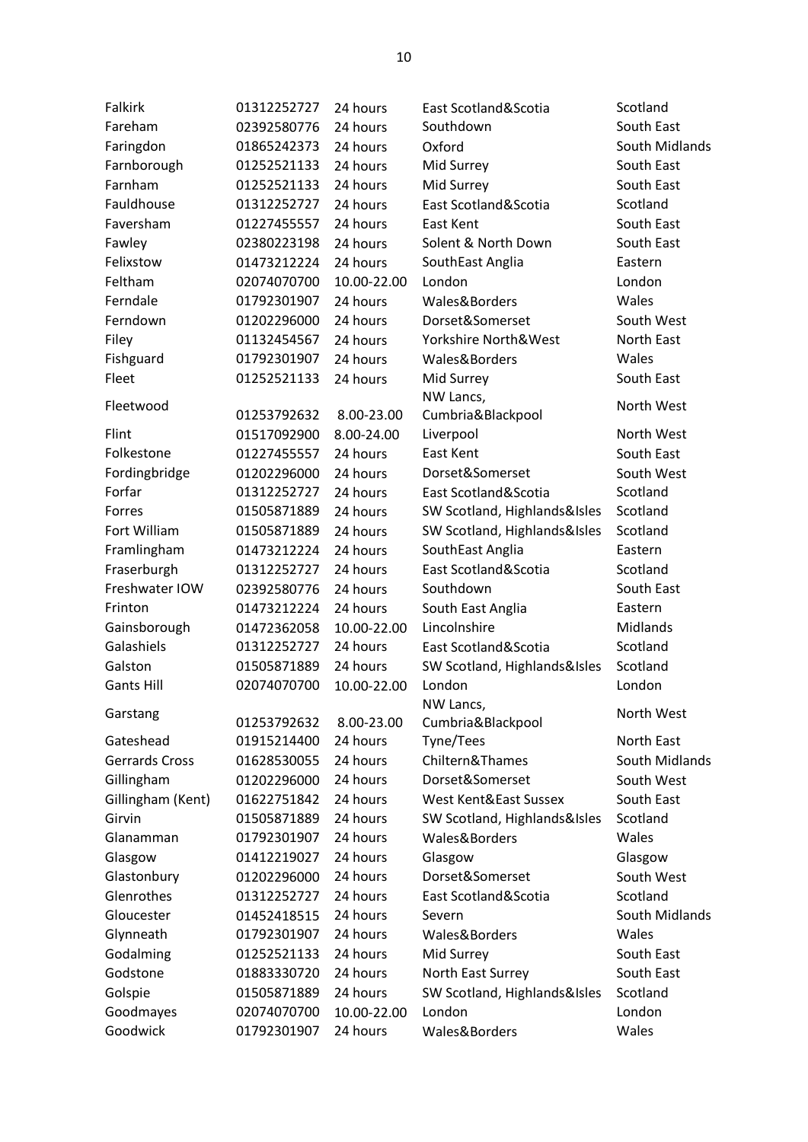| <b>Falkirk</b>    | 01312252727 | 24 hours    | East Scotland&Scotia         | Scotland        |
|-------------------|-------------|-------------|------------------------------|-----------------|
| Fareham           | 02392580776 | 24 hours    | Southdown                    | South East      |
| Faringdon         | 01865242373 | 24 hours    | Oxford                       | South Midlands  |
| Farnborough       | 01252521133 | 24 hours    | Mid Surrey                   | South East      |
| Farnham           | 01252521133 | 24 hours    | Mid Surrey                   | South East      |
| Fauldhouse        | 01312252727 | 24 hours    | East Scotland&Scotia         | Scotland        |
| Faversham         | 01227455557 | 24 hours    | East Kent                    | South East      |
| Fawley            | 02380223198 | 24 hours    | Solent & North Down          | South East      |
| Felixstow         | 01473212224 | 24 hours    | SouthEast Anglia             | Eastern         |
| Feltham           | 02074070700 | 10.00-22.00 | London                       | London          |
| Ferndale          | 01792301907 | 24 hours    | Wales&Borders                | Wales           |
| Ferndown          | 01202296000 | 24 hours    | Dorset&Somerset              | South West      |
| Filey             | 01132454567 | 24 hours    | Yorkshire North&West         | North East      |
| Fishguard         | 01792301907 | 24 hours    | Wales&Borders                | Wales           |
| Fleet             | 01252521133 | 24 hours    | Mid Surrey                   | South East      |
| Fleetwood         |             |             | NW Lancs,                    | North West      |
|                   | 01253792632 | 8.00-23.00  | Cumbria&Blackpool            |                 |
| Flint             | 01517092900 | 8.00-24.00  | Liverpool                    | North West      |
| Folkestone        | 01227455557 | 24 hours    | East Kent                    | South East      |
| Fordingbridge     | 01202296000 | 24 hours    | Dorset&Somerset              | South West      |
| Forfar            | 01312252727 | 24 hours    | East Scotland&Scotia         | Scotland        |
| Forres            | 01505871889 | 24 hours    | SW Scotland, Highlands&Isles | Scotland        |
| Fort William      | 01505871889 | 24 hours    | SW Scotland, Highlands&Isles | Scotland        |
| Framlingham       | 01473212224 | 24 hours    | SouthEast Anglia             | Eastern         |
| Fraserburgh       | 01312252727 | 24 hours    | East Scotland&Scotia         | Scotland        |
| Freshwater IOW    | 02392580776 | 24 hours    | Southdown                    | South East      |
| Frinton           | 01473212224 | 24 hours    | South East Anglia            | Eastern         |
| Gainsborough      | 01472362058 | 10.00-22.00 | Lincolnshire                 | <b>Midlands</b> |
| Galashiels        | 01312252727 | 24 hours    | East Scotland&Scotia         | Scotland        |
| Galston           | 01505871889 | 24 hours    | SW Scotland, Highlands&Isles | Scotland        |
| <b>Gants Hill</b> | 02074070700 | 10.00-22.00 | London                       | London          |
| Garstang          |             |             | NW Lancs,                    | North West      |
|                   | 01253792632 | 8.00-23.00  | Cumbria&Blackpool            |                 |
| Gateshead         | 01915214400 | 24 hours    | Tyne/Tees                    | North East      |
| Gerrards Cross    | 01628530055 | 24 hours    | Chiltern&Thames              | South Midlands  |
| Gillingham        | 01202296000 | 24 hours    | Dorset&Somerset              | South West      |
| Gillingham (Kent) | 01622751842 | 24 hours    | West Kent&East Sussex        | South East      |
| Girvin            | 01505871889 | 24 hours    | SW Scotland, Highlands&Isles | Scotland        |
| Glanamman         | 01792301907 | 24 hours    | Wales&Borders                | Wales           |
| Glasgow           | 01412219027 | 24 hours    | Glasgow                      | Glasgow         |
| Glastonbury       | 01202296000 | 24 hours    | Dorset&Somerset              | South West      |
| Glenrothes        | 01312252727 | 24 hours    | East Scotland&Scotia         | Scotland        |
| Gloucester        | 01452418515 | 24 hours    | Severn                       | South Midlands  |
| Glynneath         | 01792301907 | 24 hours    | Wales&Borders                | Wales           |
| Godalming         | 01252521133 | 24 hours    | Mid Surrey                   | South East      |
| Godstone          | 01883330720 | 24 hours    | North East Surrey            | South East      |
| Golspie           | 01505871889 | 24 hours    | SW Scotland, Highlands&Isles | Scotland        |
| Goodmayes         | 02074070700 | 10.00-22.00 | London                       | London          |
| Goodwick          | 01792301907 | 24 hours    | Wales&Borders                | Wales           |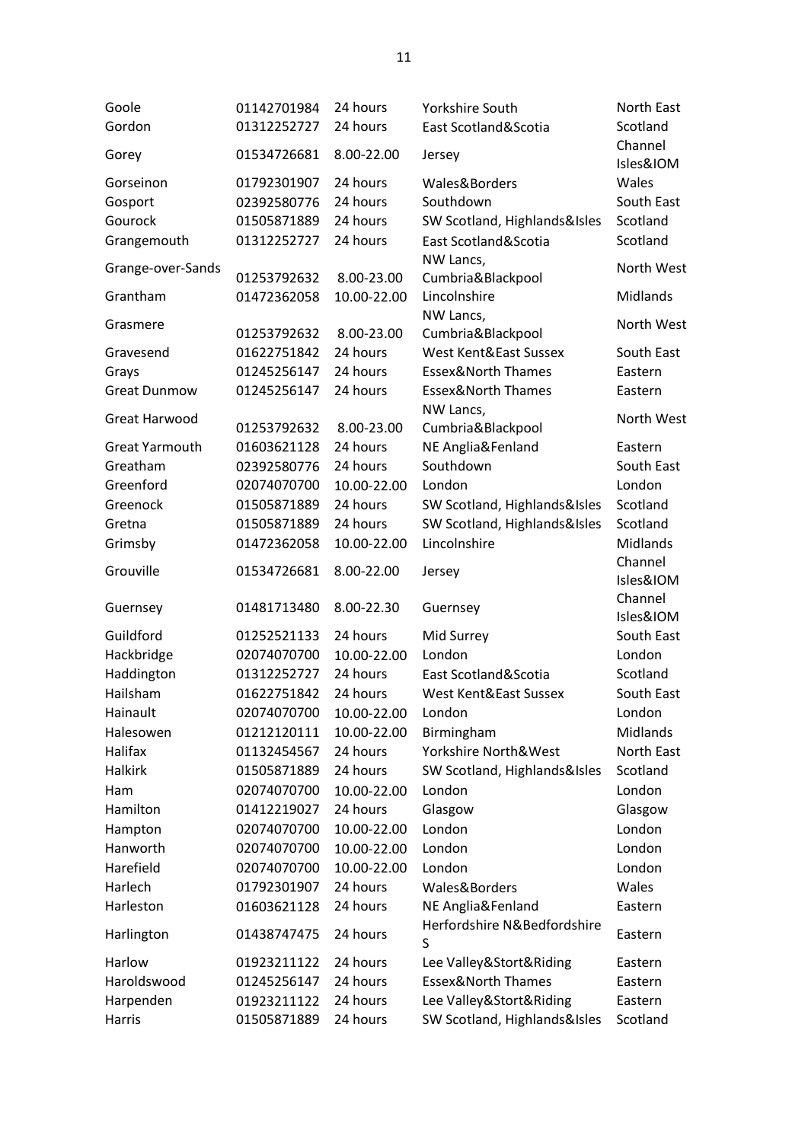| Goole                 | 01142701984 | 24 hours    | Yorkshire South                | North East           |
|-----------------------|-------------|-------------|--------------------------------|----------------------|
| Gordon                | 01312252727 | 24 hours    | East Scotland&Scotia           | Scotland             |
| Gorey                 | 01534726681 | 8.00-22.00  | Jersey                         | Channel<br>Isles&IOM |
| Gorseinon             | 01792301907 | 24 hours    | Wales&Borders                  | Wales                |
| Gosport               | 02392580776 | 24 hours    | Southdown                      | South East           |
| Gourock               | 01505871889 | 24 hours    | SW Scotland, Highlands&Isles   | Scotland             |
| Grangemouth           | 01312252727 | 24 hours    | East Scotland&Scotia           | Scotland             |
| Grange-over-Sands     | 01253792632 | 8.00-23.00  | NW Lancs,<br>Cumbria&Blackpool | North West           |
| Grantham              | 01472362058 | 10.00-22.00 | Lincolnshire                   | Midlands             |
| Grasmere              | 01253792632 | 8.00-23.00  | NW Lancs,<br>Cumbria&Blackpool | North West           |
| Gravesend             | 01622751842 | 24 hours    | West Kent&East Sussex          | South East           |
| Grays                 | 01245256147 | 24 hours    | <b>Essex&amp;North Thames</b>  | Eastern              |
| <b>Great Dunmow</b>   | 01245256147 | 24 hours    | <b>Essex&amp;North Thames</b>  | Eastern              |
| Great Harwood         |             |             | NW Lancs,                      | North West           |
|                       | 01253792632 | 8.00-23.00  | Cumbria&Blackpool              |                      |
| <b>Great Yarmouth</b> | 01603621128 | 24 hours    | NE Anglia&Fenland              | Eastern              |
| Greatham              | 02392580776 | 24 hours    | Southdown                      | South East           |
| Greenford             | 02074070700 | 10.00-22.00 | London                         | London               |
| Greenock              | 01505871889 | 24 hours    | SW Scotland, Highlands&Isles   | Scotland             |
| Gretna                | 01505871889 | 24 hours    | SW Scotland, Highlands&Isles   | Scotland             |
| Grimsby               | 01472362058 | 10.00-22.00 | Lincolnshire                   | <b>Midlands</b>      |
| Grouville             | 01534726681 | 8.00-22.00  | Jersey                         | Channel<br>Isles&IOM |
| Guernsey              | 01481713480 | 8.00-22.30  | Guernsey                       | Channel<br>Isles&IOM |
| Guildford             | 01252521133 | 24 hours    | Mid Surrey                     | South East           |
| Hackbridge            | 02074070700 | 10.00-22.00 | London                         | London               |
| Haddington            | 01312252727 | 24 hours    | East Scotland&Scotia           | Scotland             |
| Hailsham              | 01622751842 | 24 hours    | West Kent&East Sussex          | South East           |
| Hainault              | 02074070700 | 10.00-22.00 | London                         | London               |
| Halesowen             | 01212120111 | 10.00-22.00 | Birmingham                     | Midlands             |
| Halifax               | 01132454567 | 24 hours    | Yorkshire North&West           | North East           |
| <b>Halkirk</b>        | 01505871889 | 24 hours    | SW Scotland, Highlands&Isles   | Scotland             |
| Ham                   | 02074070700 | 10.00-22.00 | London                         | London               |
| Hamilton              | 01412219027 | 24 hours    | Glasgow                        | Glasgow              |
| Hampton               | 02074070700 | 10.00-22.00 | London                         | London               |
| Hanworth              | 02074070700 | 10.00-22.00 | London                         | London               |
| Harefield             | 02074070700 | 10.00-22.00 | London                         | London               |
| Harlech               | 01792301907 | 24 hours    | Wales&Borders                  | Wales                |
| Harleston             | 01603621128 | 24 hours    | NE Anglia&Fenland              | Eastern              |
| Harlington            | 01438747475 | 24 hours    | Herfordshire N&Bedfordshire    | Eastern              |
|                       |             |             | S                              |                      |
| Harlow                | 01923211122 | 24 hours    | Lee Valley&Stort&Riding        | Eastern              |
| Haroldswood           | 01245256147 | 24 hours    | <b>Essex&amp;North Thames</b>  | Eastern              |
| Harpenden             | 01923211122 | 24 hours    | Lee Valley&Stort&Riding        | Eastern              |
| Harris                | 01505871889 | 24 hours    | SW Scotland, Highlands&Isles   | Scotland             |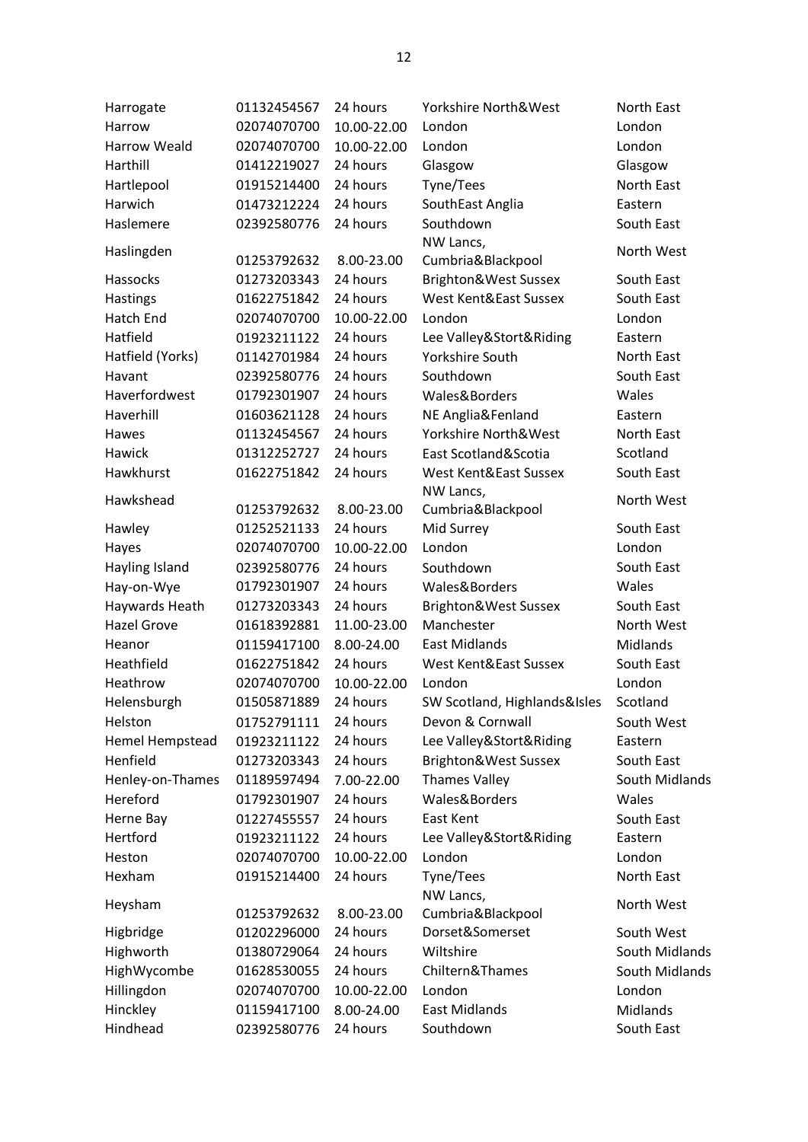| Harrogate                  | 01132454567 | 24 hours    | Yorkshire North&West           | North East     |
|----------------------------|-------------|-------------|--------------------------------|----------------|
| Harrow                     | 02074070700 | 10.00-22.00 | London                         | London         |
| <b>Harrow Weald</b>        | 02074070700 | 10.00-22.00 | London                         | London         |
| Harthill                   | 01412219027 | 24 hours    | Glasgow                        | Glasgow        |
| Hartlepool                 | 01915214400 | 24 hours    | Tyne/Tees                      | North East     |
| Harwich                    | 01473212224 | 24 hours    | SouthEast Anglia               | Eastern        |
| Haslemere                  | 02392580776 | 24 hours    | Southdown                      | South East     |
| Haslingden                 | 01253792632 | 8.00-23.00  | NW Lancs,<br>Cumbria&Blackpool | North West     |
| Hassocks                   | 01273203343 | 24 hours    | Brighton&West Sussex           | South East     |
| Hastings                   | 01622751842 | 24 hours    | West Kent&East Sussex          | South East     |
| Hatch End                  | 02074070700 | 10.00-22.00 | London                         | London         |
| Hatfield                   |             | 24 hours    |                                | Eastern        |
|                            | 01923211122 | 24 hours    | Lee Valley&Stort&Riding        | North East     |
| Hatfield (Yorks)<br>Havant | 01142701984 | 24 hours    | Yorkshire South<br>Southdown   |                |
|                            | 02392580776 |             |                                | South East     |
| Haverfordwest              | 01792301907 | 24 hours    | Wales&Borders                  | Wales          |
| Haverhill                  | 01603621128 | 24 hours    | NE Anglia&Fenland              | Eastern        |
| Hawes                      | 01132454567 | 24 hours    | Yorkshire North&West           | North East     |
| Hawick                     | 01312252727 | 24 hours    | East Scotland&Scotia           | Scotland       |
| Hawkhurst                  | 01622751842 | 24 hours    | West Kent&East Sussex          | South East     |
| Hawkshead                  | 01253792632 | 8.00-23.00  | NW Lancs,<br>Cumbria&Blackpool | North West     |
| Hawley                     | 01252521133 | 24 hours    | Mid Surrey                     | South East     |
| Hayes                      | 02074070700 | 10.00-22.00 | London                         | London         |
| Hayling Island             | 02392580776 | 24 hours    | Southdown                      | South East     |
| Hay-on-Wye                 | 01792301907 | 24 hours    | Wales&Borders                  | Wales          |
| Haywards Heath             | 01273203343 | 24 hours    | Brighton&West Sussex           | South East     |
| <b>Hazel Grove</b>         | 01618392881 | 11.00-23.00 | Manchester                     | North West     |
| Heanor                     | 01159417100 | 8.00-24.00  | <b>East Midlands</b>           | Midlands       |
| Heathfield                 | 01622751842 | 24 hours    | West Kent&East Sussex          | South East     |
| Heathrow                   | 02074070700 | 10.00-22.00 | London                         | London         |
| Helensburgh                | 01505871889 | 24 hours    | SW Scotland, Highlands&Isles   | Scotland       |
| Helston                    | 01752791111 | 24 hours    | Devon & Cornwall               | South West     |
| Hemel Hempstead            | 01923211122 | 24 hours    | Lee Valley&Stort&Riding        | Eastern        |
| Henfield                   | 01273203343 | 24 hours    | Brighton&West Sussex           | South East     |
| Henley-on-Thames           | 01189597494 | 7.00-22.00  | <b>Thames Valley</b>           | South Midlands |
| Hereford                   | 01792301907 | 24 hours    | Wales&Borders                  | Wales          |
| Herne Bay                  | 01227455557 | 24 hours    | East Kent                      | South East     |
| Hertford                   | 01923211122 | 24 hours    | Lee Valley&Stort&Riding        | Eastern        |
| Heston                     | 02074070700 | 10.00-22.00 | London                         | London         |
| Hexham                     | 01915214400 | 24 hours    | Tyne/Tees                      | North East     |
|                            |             |             | NW Lancs,                      |                |
| Heysham                    | 01253792632 | 8.00-23.00  | Cumbria&Blackpool              | North West     |
| Higbridge                  | 01202296000 | 24 hours    | Dorset&Somerset                | South West     |
| Highworth                  | 01380729064 | 24 hours    | Wiltshire                      | South Midlands |
| HighWycombe                | 01628530055 | 24 hours    | Chiltern&Thames                | South Midlands |
| Hillingdon                 | 02074070700 | 10.00-22.00 | London                         | London         |
| Hinckley                   | 01159417100 | 8.00-24.00  | <b>East Midlands</b>           | Midlands       |
| Hindhead                   | 02392580776 | 24 hours    | Southdown                      | South East     |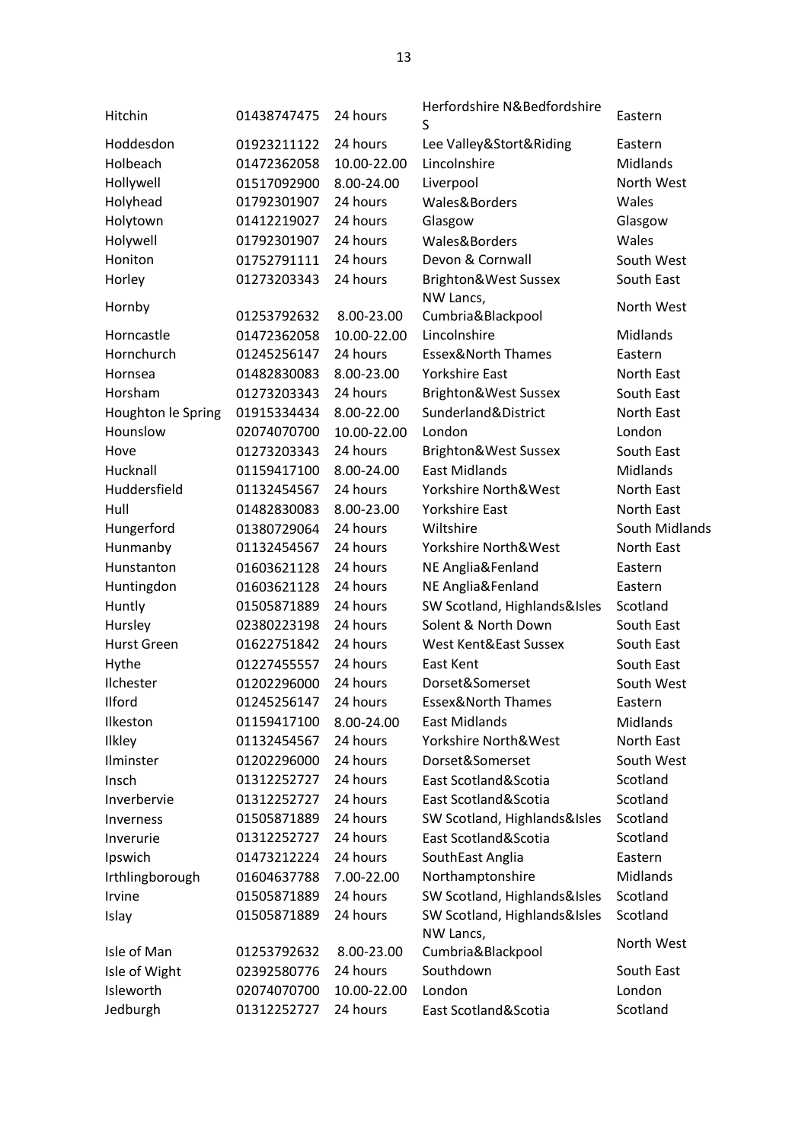| Hitchin            | 01438747475 | 24 hours    | Herfordshire N&Bedfordshire<br>S          | Eastern           |
|--------------------|-------------|-------------|-------------------------------------------|-------------------|
| Hoddesdon          | 01923211122 | 24 hours    | Lee Valley&Stort&Riding                   | Eastern           |
| Holbeach           | 01472362058 | 10.00-22.00 | Lincolnshire                              | Midlands          |
| Hollywell          | 01517092900 | 8.00-24.00  | Liverpool                                 | North West        |
| Holyhead           | 01792301907 | 24 hours    | Wales&Borders                             | Wales             |
| Holytown           | 01412219027 | 24 hours    | Glasgow                                   | Glasgow           |
| Holywell           | 01792301907 | 24 hours    | Wales&Borders                             | Wales             |
| Honiton            | 01752791111 | 24 hours    | Devon & Cornwall                          | South West        |
| Horley             | 01273203343 | 24 hours    | Brighton&West Sussex                      | South East        |
|                    |             |             | NW Lancs,                                 |                   |
| Hornby             | 01253792632 | 8.00-23.00  | Cumbria&Blackpool                         | North West        |
| Horncastle         | 01472362058 | 10.00-22.00 | Lincolnshire                              | Midlands          |
| Hornchurch         | 01245256147 | 24 hours    | <b>Essex&amp;North Thames</b>             | Eastern           |
| Hornsea            | 01482830083 | 8.00-23.00  | <b>Yorkshire East</b>                     | North East        |
| Horsham            | 01273203343 | 24 hours    | Brighton&West Sussex                      | South East        |
| Houghton le Spring | 01915334434 | 8.00-22.00  | Sunderland&District                       | <b>North East</b> |
| Hounslow           | 02074070700 | 10.00-22.00 | London                                    | London            |
| Hove               | 01273203343 | 24 hours    | Brighton&West Sussex                      | South East        |
| Hucknall           | 01159417100 | 8.00-24.00  | <b>East Midlands</b>                      | Midlands          |
| Huddersfield       | 01132454567 | 24 hours    | Yorkshire North&West                      | North East        |
| Hull               | 01482830083 | 8.00-23.00  | <b>Yorkshire East</b>                     | North East        |
| Hungerford         | 01380729064 | 24 hours    | Wiltshire                                 | South Midlands    |
| Hunmanby           | 01132454567 | 24 hours    | Yorkshire North&West                      | North East        |
| Hunstanton         | 01603621128 | 24 hours    | NE Anglia&Fenland                         | Eastern           |
| Huntingdon         | 01603621128 | 24 hours    | NE Anglia&Fenland                         | Eastern           |
| Huntly             | 01505871889 | 24 hours    | SW Scotland, Highlands&Isles              | Scotland          |
| Hursley            | 02380223198 | 24 hours    | Solent & North Down                       | South East        |
| <b>Hurst Green</b> | 01622751842 | 24 hours    | West Kent&East Sussex                     | South East        |
| Hythe              | 01227455557 | 24 hours    | East Kent                                 | South East        |
| Ilchester          | 01202296000 | 24 hours    | Dorset&Somerset                           | South West        |
| Ilford             | 01245256147 | 24 hours    | <b>Essex&amp;North Thames</b>             | Eastern           |
| Ilkeston           | 01159417100 | 8.00-24.00  | <b>East Midlands</b>                      | Midlands          |
| Ilkley             | 01132454567 | 24 hours    | Yorkshire North&West                      | North East        |
| Ilminster          | 01202296000 | 24 hours    | Dorset&Somerset                           | South West        |
| Insch              | 01312252727 | 24 hours    | East Scotland&Scotia                      | Scotland          |
| Inverbervie        | 01312252727 | 24 hours    | East Scotland&Scotia                      | Scotland          |
| Inverness          | 01505871889 | 24 hours    | SW Scotland, Highlands&Isles              | Scotland          |
| Inverurie          | 01312252727 | 24 hours    | East Scotland&Scotia                      | Scotland          |
| Ipswich            | 01473212224 | 24 hours    | SouthEast Anglia                          | Eastern           |
| Irthlingborough    | 01604637788 | 7.00-22.00  | Northamptonshire                          | Midlands          |
| Irvine             | 01505871889 | 24 hours    | SW Scotland, Highlands&Isles              | Scotland          |
| Islay              | 01505871889 | 24 hours    | SW Scotland, Highlands&Isles<br>NW Lancs, | Scotland          |
| Isle of Man        | 01253792632 | 8.00-23.00  | Cumbria&Blackpool                         | North West        |
| Isle of Wight      | 02392580776 | 24 hours    | Southdown                                 | South East        |
| Isleworth          | 02074070700 | 10.00-22.00 | London                                    | London            |
| Jedburgh           | 01312252727 | 24 hours    | East Scotland&Scotia                      | Scotland          |
|                    |             |             |                                           |                   |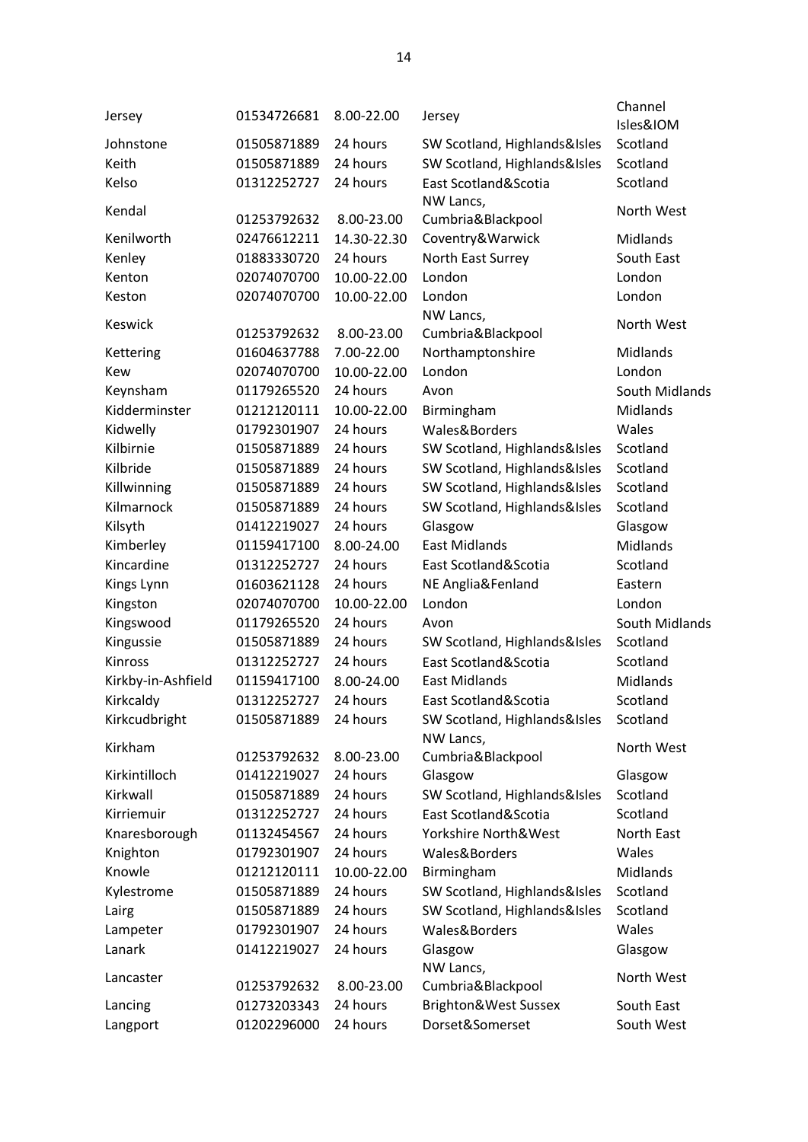| Jersey             | 01534726681 | 8.00-22.00  | Jersey                         | Channel<br>Isles&IOM |
|--------------------|-------------|-------------|--------------------------------|----------------------|
| Johnstone          | 01505871889 | 24 hours    | SW Scotland, Highlands&Isles   | Scotland             |
| Keith              | 01505871889 | 24 hours    | SW Scotland, Highlands&Isles   | Scotland             |
| Kelso              | 01312252727 | 24 hours    | East Scotland&Scotia           | Scotland             |
| Kendal             | 01253792632 | 8.00-23.00  | NW Lancs,<br>Cumbria&Blackpool | North West           |
| Kenilworth         | 02476612211 | 14.30-22.30 | Coventry&Warwick               | Midlands             |
| Kenley             | 01883330720 | 24 hours    | North East Surrey              | South East           |
| Kenton             | 02074070700 | 10.00-22.00 | London                         | London               |
| Keston             | 02074070700 | 10.00-22.00 | London                         | London               |
|                    |             |             | NW Lancs,                      |                      |
| <b>Keswick</b>     | 01253792632 | 8.00-23.00  | Cumbria&Blackpool              | North West           |
| Kettering          | 01604637788 | 7.00-22.00  | Northamptonshire               | Midlands             |
| Kew                | 02074070700 | 10.00-22.00 | London                         | London               |
| Keynsham           | 01179265520 | 24 hours    | Avon                           | South Midlands       |
| Kidderminster      | 01212120111 | 10.00-22.00 | Birmingham                     | Midlands             |
| Kidwelly           | 01792301907 | 24 hours    | Wales&Borders                  | Wales                |
| Kilbirnie          | 01505871889 | 24 hours    | SW Scotland, Highlands&Isles   | Scotland             |
| Kilbride           | 01505871889 | 24 hours    | SW Scotland, Highlands&Isles   | Scotland             |
| Killwinning        | 01505871889 | 24 hours    | SW Scotland, Highlands&Isles   | Scotland             |
| Kilmarnock         | 01505871889 | 24 hours    | SW Scotland, Highlands&Isles   | Scotland             |
| Kilsyth            | 01412219027 | 24 hours    | Glasgow                        | Glasgow              |
| Kimberley          | 01159417100 | 8.00-24.00  | <b>East Midlands</b>           | <b>Midlands</b>      |
| Kincardine         | 01312252727 | 24 hours    | East Scotland&Scotia           | Scotland             |
| Kings Lynn         | 01603621128 | 24 hours    | NE Anglia&Fenland              | Eastern              |
| Kingston           | 02074070700 | 10.00-22.00 | London                         | London               |
| Kingswood          | 01179265520 | 24 hours    | Avon                           | South Midlands       |
| Kingussie          | 01505871889 | 24 hours    | SW Scotland, Highlands&Isles   | Scotland             |
| Kinross            | 01312252727 | 24 hours    | East Scotland&Scotia           | Scotland             |
| Kirkby-in-Ashfield | 01159417100 | 8.00-24.00  | <b>East Midlands</b>           | Midlands             |
| Kirkcaldy          | 01312252727 | 24 hours    | East Scotland&Scotia           | Scotland             |
| Kirkcudbright      | 01505871889 | 24 hours    | SW Scotland, Highlands&Isles   | Scotland             |
| Kirkham            |             |             | NW Lancs,                      | North West           |
|                    | 01253792632 | 8.00-23.00  | Cumbria&Blackpool              |                      |
| Kirkintilloch      | 01412219027 | 24 hours    | Glasgow                        | Glasgow              |
| Kirkwall           | 01505871889 | 24 hours    | SW Scotland, Highlands&Isles   | Scotland             |
| Kirriemuir         | 01312252727 | 24 hours    | East Scotland&Scotia           | Scotland             |
| Knaresborough      | 01132454567 | 24 hours    | Yorkshire North&West           | North East           |
| Knighton           | 01792301907 | 24 hours    | Wales&Borders                  | Wales                |
| Knowle             | 01212120111 | 10.00-22.00 | Birmingham                     | Midlands             |
| Kylestrome         | 01505871889 | 24 hours    | SW Scotland, Highlands&Isles   | Scotland             |
| Lairg              | 01505871889 | 24 hours    | SW Scotland, Highlands&Isles   | Scotland             |
| Lampeter           | 01792301907 | 24 hours    | Wales&Borders                  | Wales                |
| Lanark             | 01412219027 | 24 hours    | Glasgow                        | Glasgow              |
| Lancaster          | 01253792632 | 8.00-23.00  | NW Lancs,<br>Cumbria&Blackpool | North West           |
| Lancing            | 01273203343 | 24 hours    | Brighton&West Sussex           | South East           |
| Langport           | 01202296000 | 24 hours    | Dorset&Somerset                | South West           |
|                    |             |             |                                |                      |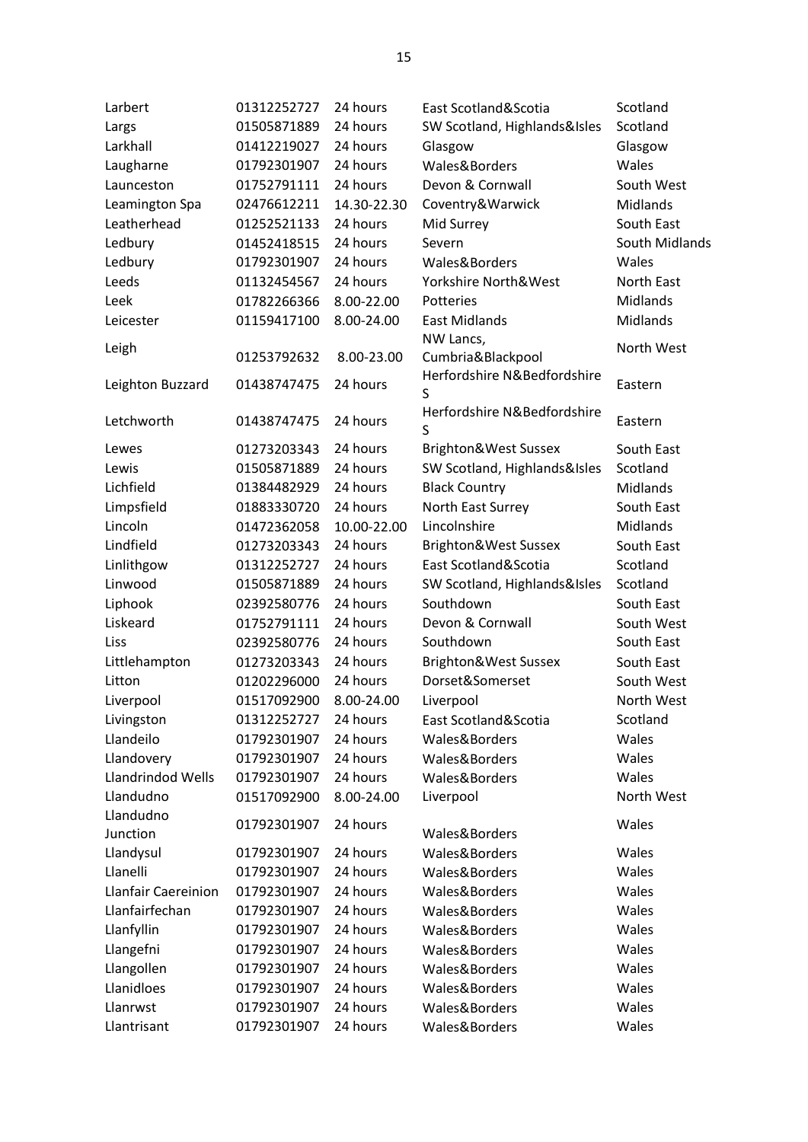| Larbert                    | 01312252727 | 24 hours    | East Scotland&Scotia             | Scotland        |
|----------------------------|-------------|-------------|----------------------------------|-----------------|
| Largs                      | 01505871889 | 24 hours    | SW Scotland, Highlands&Isles     | Scotland        |
| Larkhall                   | 01412219027 | 24 hours    | Glasgow                          | Glasgow         |
| Laugharne                  | 01792301907 | 24 hours    | Wales&Borders                    | Wales           |
| Launceston                 | 01752791111 | 24 hours    | Devon & Cornwall                 | South West      |
| Leamington Spa             | 02476612211 | 14.30-22.30 | Coventry&Warwick                 | Midlands        |
| Leatherhead                | 01252521133 | 24 hours    | Mid Surrey                       | South East      |
| Ledbury                    | 01452418515 | 24 hours    | Severn                           | South Midlands  |
| Ledbury                    | 01792301907 | 24 hours    | Wales&Borders                    | Wales           |
| Leeds                      | 01132454567 | 24 hours    | Yorkshire North&West             | North East      |
| Leek                       | 01782266366 | 8.00-22.00  | Potteries                        | Midlands        |
| Leicester                  | 01159417100 | 8.00-24.00  | <b>East Midlands</b>             | Midlands        |
|                            |             |             | NW Lancs,                        |                 |
| Leigh                      | 01253792632 | 8.00-23.00  | Cumbria&Blackpool                | North West      |
|                            | 01438747475 | 24 hours    | Herfordshire N&Bedfordshire      | Eastern         |
| Leighton Buzzard           |             |             | S                                |                 |
| Letchworth                 | 01438747475 | 24 hours    | Herfordshire N&Bedfordshire<br>S | Eastern         |
| Lewes                      | 01273203343 | 24 hours    | Brighton&West Sussex             | South East      |
| Lewis                      | 01505871889 | 24 hours    | SW Scotland, Highlands&Isles     | Scotland        |
| Lichfield                  | 01384482929 | 24 hours    | <b>Black Country</b>             | <b>Midlands</b> |
| Limpsfield                 | 01883330720 | 24 hours    | North East Surrey                | South East      |
| Lincoln                    | 01472362058 | 10.00-22.00 | Lincolnshire                     | Midlands        |
| Lindfield                  | 01273203343 | 24 hours    | Brighton&West Sussex             | South East      |
| Linlithgow                 | 01312252727 | 24 hours    | East Scotland&Scotia             | Scotland        |
| Linwood                    | 01505871889 | 24 hours    | SW Scotland, Highlands&Isles     | Scotland        |
| Liphook                    | 02392580776 | 24 hours    | Southdown                        | South East      |
| Liskeard                   | 01752791111 | 24 hours    | Devon & Cornwall                 | South West      |
| Liss                       | 02392580776 | 24 hours    | Southdown                        | South East      |
| Littlehampton              | 01273203343 | 24 hours    | Brighton&West Sussex             | South East      |
| Litton                     | 01202296000 | 24 hours    | Dorset&Somerset                  | South West      |
| Liverpool                  | 01517092900 | 8.00-24.00  | Liverpool                        | North West      |
| Livingston                 | 01312252727 | 24 hours    | East Scotland&Scotia             | Scotland        |
| Llandeilo                  | 01792301907 | 24 hours    | Wales&Borders                    | Wales           |
| Llandovery                 | 01792301907 | 24 hours    | Wales&Borders                    | Wales           |
| Llandrindod Wells          | 01792301907 | 24 hours    | Wales&Borders                    | Wales           |
| Llandudno                  | 01517092900 | 8.00-24.00  | Liverpool                        | North West      |
| Llandudno                  | 01792301907 | 24 hours    |                                  | Wales           |
| Junction                   |             |             | Wales&Borders                    |                 |
| Llandysul                  | 01792301907 | 24 hours    | Wales&Borders                    | Wales           |
| Llanelli                   | 01792301907 | 24 hours    | Wales&Borders                    | Wales           |
| <b>Llanfair Caereinion</b> | 01792301907 | 24 hours    | Wales&Borders                    | Wales           |
| Llanfairfechan             | 01792301907 | 24 hours    | Wales&Borders                    | Wales           |
| Llanfyllin                 | 01792301907 | 24 hours    | Wales&Borders                    | Wales           |
| Llangefni                  | 01792301907 | 24 hours    | Wales&Borders                    | Wales           |
| Llangollen                 | 01792301907 | 24 hours    | Wales&Borders                    | Wales           |
| Llanidloes                 | 01792301907 | 24 hours    | Wales&Borders                    | Wales           |
| Llanrwst                   | 01792301907 | 24 hours    | Wales&Borders                    | Wales           |
| Llantrisant                | 01792301907 | 24 hours    | Wales&Borders                    | Wales           |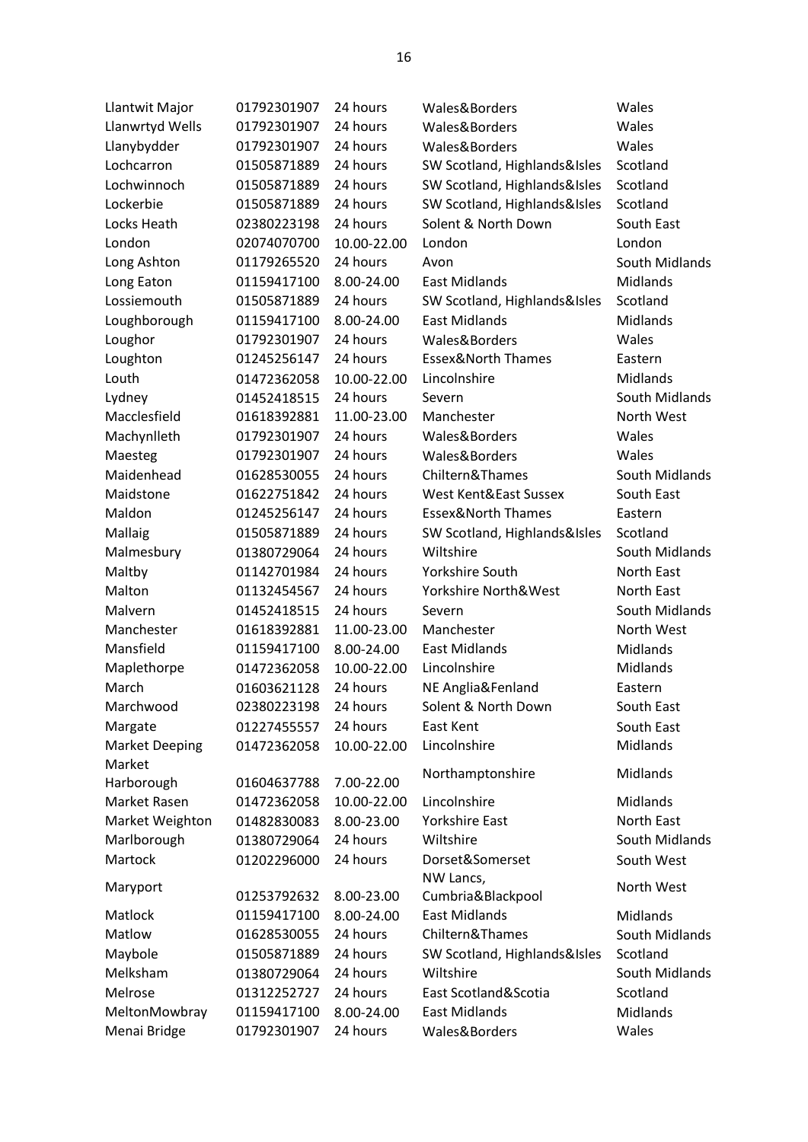| Llantwit Major        | 01792301907 | 24 hours    | Wales&Borders                 | Wales          |
|-----------------------|-------------|-------------|-------------------------------|----------------|
| Llanwrtyd Wells       | 01792301907 | 24 hours    | Wales&Borders                 | Wales          |
| Llanybydder           | 01792301907 | 24 hours    | Wales&Borders                 | Wales          |
| Lochcarron            | 01505871889 | 24 hours    | SW Scotland, Highlands&Isles  | Scotland       |
| Lochwinnoch           | 01505871889 | 24 hours    | SW Scotland, Highlands&Isles  | Scotland       |
| Lockerbie             | 01505871889 | 24 hours    | SW Scotland, Highlands&Isles  | Scotland       |
| Locks Heath           | 02380223198 | 24 hours    | Solent & North Down           | South East     |
| London                | 02074070700 | 10.00-22.00 | London                        | London         |
| Long Ashton           | 01179265520 | 24 hours    | Avon                          | South Midlands |
| Long Eaton            | 01159417100 | 8.00-24.00  | <b>East Midlands</b>          | Midlands       |
| Lossiemouth           | 01505871889 | 24 hours    | SW Scotland, Highlands&Isles  | Scotland       |
| Loughborough          | 01159417100 | 8.00-24.00  | <b>East Midlands</b>          | Midlands       |
| Loughor               | 01792301907 | 24 hours    | Wales&Borders                 | Wales          |
| Loughton              | 01245256147 | 24 hours    | <b>Essex&amp;North Thames</b> | Eastern        |
| Louth                 | 01472362058 | 10.00-22.00 | Lincolnshire                  | Midlands       |
| Lydney                | 01452418515 | 24 hours    | Severn                        | South Midlands |
| Macclesfield          | 01618392881 | 11.00-23.00 | Manchester                    | North West     |
| Machynlleth           | 01792301907 | 24 hours    | Wales&Borders                 | Wales          |
| Maesteg               | 01792301907 | 24 hours    | Wales&Borders                 | Wales          |
| Maidenhead            | 01628530055 | 24 hours    | Chiltern&Thames               | South Midlands |
| Maidstone             | 01622751842 | 24 hours    | West Kent&East Sussex         | South East     |
| Maldon                | 01245256147 | 24 hours    | <b>Essex&amp;North Thames</b> | Eastern        |
| Mallaig               | 01505871889 | 24 hours    | SW Scotland, Highlands&Isles  | Scotland       |
| Malmesbury            | 01380729064 | 24 hours    | Wiltshire                     | South Midlands |
| Maltby                | 01142701984 | 24 hours    | <b>Yorkshire South</b>        | North East     |
| Malton                | 01132454567 | 24 hours    | Yorkshire North&West          | North East     |
| Malvern               | 01452418515 | 24 hours    | Severn                        | South Midlands |
| Manchester            | 01618392881 | 11.00-23.00 | Manchester                    | North West     |
| Mansfield             | 01159417100 | 8.00-24.00  | <b>East Midlands</b>          | Midlands       |
| Maplethorpe           | 01472362058 | 10.00-22.00 | Lincolnshire                  | Midlands       |
| March                 | 01603621128 | 24 hours    | NE Anglia&Fenland             | Eastern        |
| Marchwood             | 02380223198 | 24 hours    | Solent & North Down           | South East     |
| Margate               | 01227455557 | 24 hours    | East Kent                     | South East     |
| <b>Market Deeping</b> | 01472362058 | 10.00-22.00 | Lincolnshire                  | Midlands       |
| Market                |             |             |                               |                |
| Harborough            | 01604637788 | 7.00-22.00  | Northamptonshire              | Midlands       |
| Market Rasen          | 01472362058 | 10.00-22.00 | Lincolnshire                  | Midlands       |
| Market Weighton       | 01482830083 | 8.00-23.00  | <b>Yorkshire East</b>         | North East     |
| Marlborough           | 01380729064 | 24 hours    | Wiltshire                     | South Midlands |
| Martock               | 01202296000 | 24 hours    | Dorset&Somerset               | South West     |
| Maryport              |             |             | NW Lancs,                     | North West     |
|                       | 01253792632 | 8.00-23.00  | Cumbria&Blackpool             |                |
| Matlock               | 01159417100 | 8.00-24.00  | <b>East Midlands</b>          | Midlands       |
| Matlow                | 01628530055 | 24 hours    | Chiltern&Thames               | South Midlands |
| Maybole               | 01505871889 | 24 hours    | SW Scotland, Highlands&Isles  | Scotland       |
| Melksham              | 01380729064 | 24 hours    | Wiltshire                     | South Midlands |
| Melrose               | 01312252727 | 24 hours    | East Scotland&Scotia          | Scotland       |
| MeltonMowbray         | 01159417100 | 8.00-24.00  | <b>East Midlands</b>          | Midlands       |
| Menai Bridge          | 01792301907 | 24 hours    | Wales&Borders                 | Wales          |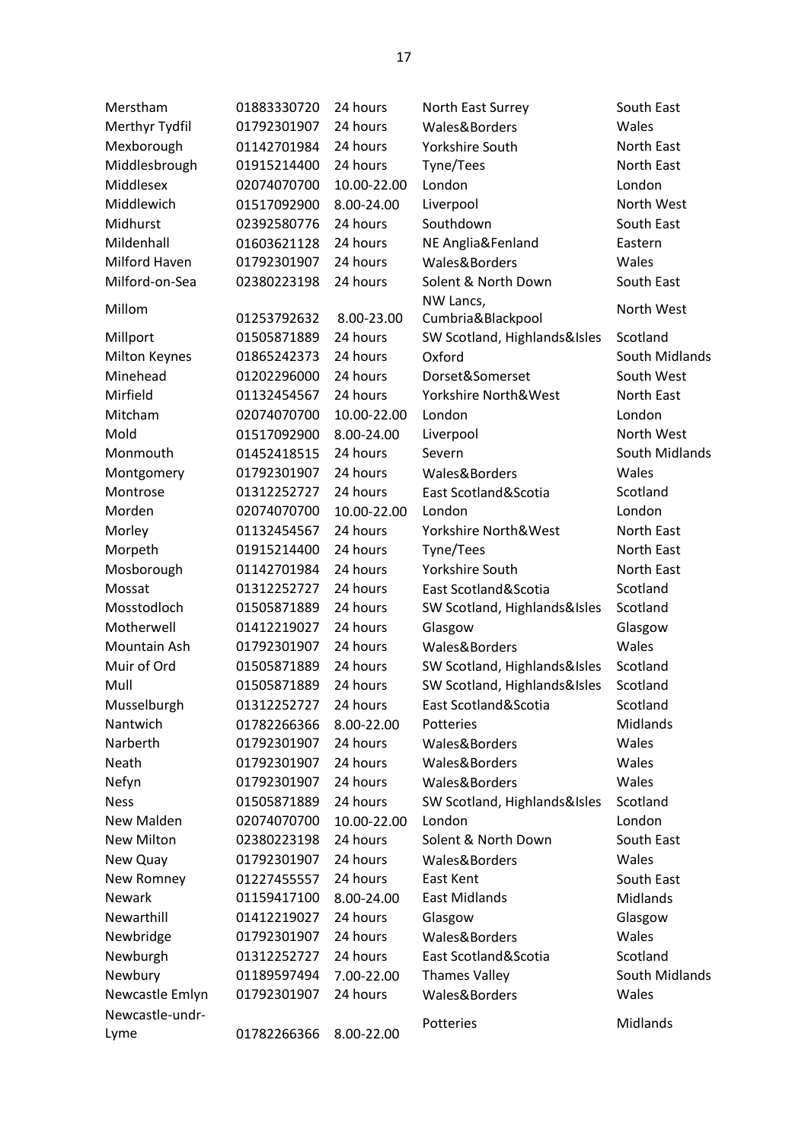| Merstham        | 01883330720 | 24 hours    | North East Surrey            | South East     |
|-----------------|-------------|-------------|------------------------------|----------------|
| Merthyr Tydfil  | 01792301907 | 24 hours    | Wales&Borders                | Wales          |
| Mexborough      | 01142701984 | 24 hours    | <b>Yorkshire South</b>       | North East     |
| Middlesbrough   | 01915214400 | 24 hours    | Tyne/Tees                    | North East     |
| Middlesex       | 02074070700 | 10.00-22.00 | London                       | London         |
| Middlewich      | 01517092900 | 8.00-24.00  | Liverpool                    | North West     |
| Midhurst        | 02392580776 | 24 hours    | Southdown                    | South East     |
| Mildenhall      | 01603621128 | 24 hours    | NE Anglia&Fenland            | Eastern        |
| Milford Haven   | 01792301907 | 24 hours    | Wales&Borders                | Wales          |
| Milford-on-Sea  | 02380223198 | 24 hours    | Solent & North Down          | South East     |
| Millom          |             |             | NW Lancs,                    | North West     |
|                 | 01253792632 | 8.00-23.00  | Cumbria&Blackpool            |                |
| Millport        | 01505871889 | 24 hours    | SW Scotland, Highlands&Isles | Scotland       |
| Milton Keynes   | 01865242373 | 24 hours    | Oxford                       | South Midlands |
| Minehead        | 01202296000 | 24 hours    | Dorset&Somerset              | South West     |
| Mirfield        | 01132454567 | 24 hours    | Yorkshire North&West         | North East     |
| Mitcham         | 02074070700 | 10.00-22.00 | London                       | London         |
| Mold            | 01517092900 | 8.00-24.00  | Liverpool                    | North West     |
| Monmouth        | 01452418515 | 24 hours    | Severn                       | South Midlands |
| Montgomery      | 01792301907 | 24 hours    | Wales&Borders                | Wales          |
| Montrose        | 01312252727 | 24 hours    | East Scotland&Scotia         | Scotland       |
| Morden          | 02074070700 | 10.00-22.00 | London                       | London         |
| Morley          | 01132454567 | 24 hours    | Yorkshire North&West         | North East     |
| Morpeth         | 01915214400 | 24 hours    | Tyne/Tees                    | North East     |
| Mosborough      | 01142701984 | 24 hours    | Yorkshire South              | North East     |
| Mossat          | 01312252727 | 24 hours    | East Scotland&Scotia         | Scotland       |
| Mosstodloch     | 01505871889 | 24 hours    | SW Scotland, Highlands&Isles | Scotland       |
| Motherwell      | 01412219027 | 24 hours    | Glasgow                      | Glasgow        |
| Mountain Ash    | 01792301907 | 24 hours    | Wales&Borders                | Wales          |
| Muir of Ord     | 01505871889 | 24 hours    | SW Scotland, Highlands&Isles | Scotland       |
| Mull            | 01505871889 | 24 hours    | SW Scotland, Highlands&Isles | Scotland       |
| Musselburgh     | 01312252727 | 24 hours    | East Scotland&Scotia         | Scotland       |
| Nantwich        | 01782266366 | 8.00-22.00  | Potteries                    | Midlands       |
| Narberth        | 01792301907 | 24 hours    | Wales&Borders                | Wales          |
| Neath           | 01792301907 | 24 hours    | Wales&Borders                | Wales          |
| Nefyn           | 01792301907 | 24 hours    | Wales&Borders                | Wales          |
| <b>Ness</b>     | 01505871889 | 24 hours    | SW Scotland, Highlands&Isles | Scotland       |
| New Malden      | 02074070700 | 10.00-22.00 | London                       | London         |
| New Milton      | 02380223198 | 24 hours    | Solent & North Down          | South East     |
| New Quay        | 01792301907 | 24 hours    | Wales&Borders                | Wales          |
| New Romney      | 01227455557 | 24 hours    | East Kent                    | South East     |
| <b>Newark</b>   | 01159417100 | 8.00-24.00  | <b>East Midlands</b>         | Midlands       |
| Newarthill      | 01412219027 | 24 hours    | Glasgow                      | Glasgow        |
| Newbridge       | 01792301907 | 24 hours    | Wales&Borders                | Wales          |
| Newburgh        | 01312252727 | 24 hours    | East Scotland&Scotia         | Scotland       |
| Newbury         | 01189597494 | 7.00-22.00  | <b>Thames Valley</b>         | South Midlands |
| Newcastle Emlyn | 01792301907 | 24 hours    | Wales&Borders                | Wales          |
| Newcastle-undr- |             |             | Potteries                    | Midlands       |
| Lyme            | 01782266366 | 8.00-22.00  |                              |                |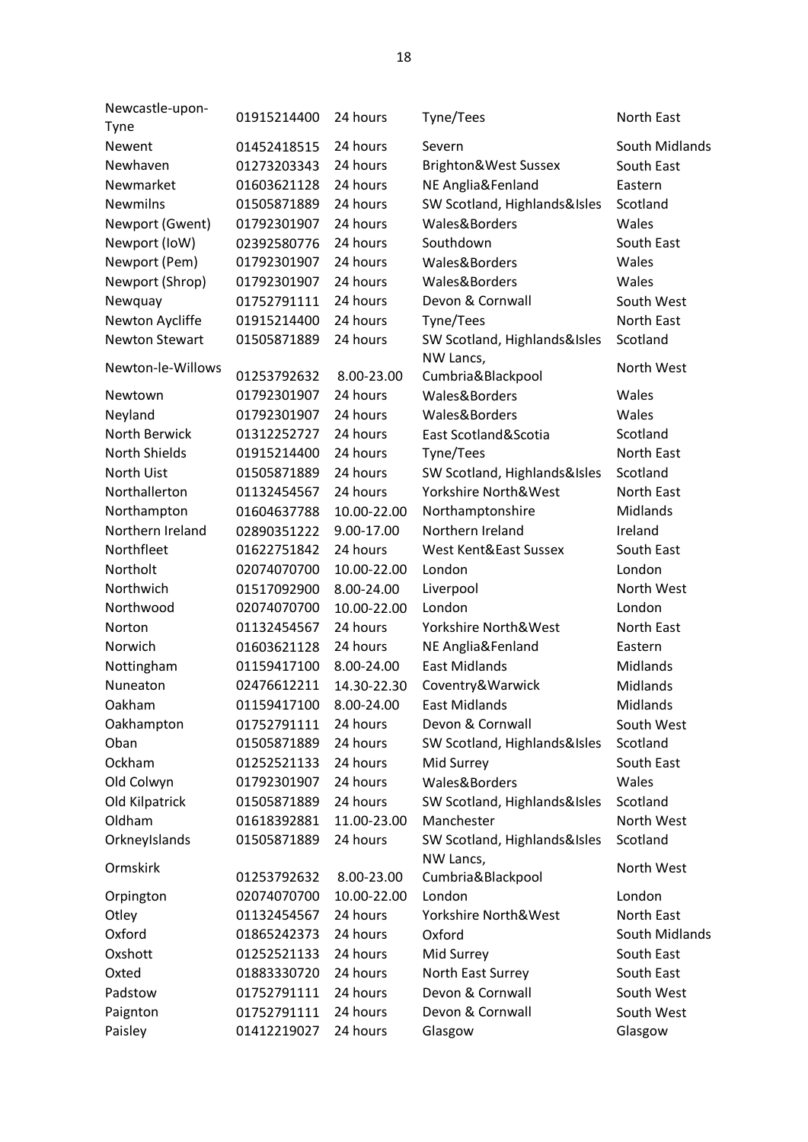| Newcastle-upon-<br>Tyne | 01915214400                | 24 hours    | Tyne/Tees                      | North East     |
|-------------------------|----------------------------|-------------|--------------------------------|----------------|
| Newent                  | 01452418515                | 24 hours    | Severn                         | South Midlands |
| Newhaven                | 01273203343                | 24 hours    | Brighton&West Sussex           | South East     |
| Newmarket               | 01603621128                | 24 hours    | NE Anglia&Fenland              | Eastern        |
| <b>Newmilns</b>         | 01505871889                | 24 hours    | SW Scotland, Highlands&Isles   | Scotland       |
| Newport (Gwent)         | 01792301907                | 24 hours    | Wales&Borders                  | Wales          |
|                         |                            | 24 hours    | Southdown                      | South East     |
| Newport (IoW)           | 02392580776<br>01792301907 | 24 hours    |                                |                |
| Newport (Pem)           |                            |             | Wales&Borders                  | Wales          |
| Newport (Shrop)         | 01792301907                | 24 hours    | Wales&Borders                  | Wales          |
| Newquay                 | 01752791111                | 24 hours    | Devon & Cornwall               | South West     |
| Newton Aycliffe         | 01915214400                | 24 hours    | Tyne/Tees                      | North East     |
| <b>Newton Stewart</b>   | 01505871889                | 24 hours    | SW Scotland, Highlands&Isles   | Scotland       |
| Newton-le-Willows       | 01253792632                | 8.00-23.00  | NW Lancs,<br>Cumbria&Blackpool | North West     |
| Newtown                 | 01792301907                | 24 hours    | Wales&Borders                  | Wales          |
| Neyland                 | 01792301907                | 24 hours    | Wales&Borders                  | Wales          |
| North Berwick           | 01312252727                | 24 hours    | East Scotland&Scotia           | Scotland       |
| North Shields           | 01915214400                | 24 hours    | Tyne/Tees                      | North East     |
| North Uist              | 01505871889                | 24 hours    | SW Scotland, Highlands&Isles   | Scotland       |
| Northallerton           | 01132454567                | 24 hours    | Yorkshire North&West           | North East     |
| Northampton             | 01604637788                | 10.00-22.00 | Northamptonshire               | Midlands       |
| Northern Ireland        | 02890351222                | 9.00-17.00  | Northern Ireland               | Ireland        |
| Northfleet              | 01622751842                | 24 hours    | West Kent&East Sussex          | South East     |
| Northolt                | 02074070700                | 10.00-22.00 | London                         | London         |
| Northwich               | 01517092900                | 8.00-24.00  | Liverpool                      | North West     |
| Northwood               | 02074070700                | 10.00-22.00 | London                         | London         |
| Norton                  | 01132454567                | 24 hours    | Yorkshire North&West           | North East     |
| Norwich                 | 01603621128                | 24 hours    | NE Anglia&Fenland              | Eastern        |
| Nottingham              | 01159417100                | 8.00-24.00  | <b>East Midlands</b>           | Midlands       |
| Nuneaton                | 02476612211                | 14.30-22.30 | Coventry&Warwick               | Midlands       |
| Oakham                  | 01159417100                | 8.00-24.00  | <b>East Midlands</b>           | Midlands       |
| Oakhampton              | 01752791111                | 24 hours    | Devon & Cornwall               | South West     |
| Oban                    | 01505871889                | 24 hours    | SW Scotland, Highlands&Isles   | Scotland       |
| Ockham                  | 01252521133                | 24 hours    | Mid Surrey                     | South East     |
| Old Colwyn              | 01792301907                | 24 hours    | Wales&Borders                  | Wales          |
| Old Kilpatrick          | 01505871889                | 24 hours    | SW Scotland, Highlands&Isles   | Scotland       |
| Oldham                  | 01618392881                | 11.00-23.00 | Manchester                     | North West     |
| OrkneyIslands           | 01505871889                | 24 hours    | SW Scotland, Highlands&Isles   | Scotland       |
|                         |                            |             | NW Lancs,                      |                |
| Ormskirk                | 01253792632                | 8.00-23.00  | Cumbria&Blackpool              | North West     |
| Orpington               | 02074070700                | 10.00-22.00 | London                         | London         |
| Otley                   | 01132454567                | 24 hours    | Yorkshire North&West           | North East     |
| Oxford                  | 01865242373                | 24 hours    | Oxford                         | South Midlands |
| Oxshott                 | 01252521133                | 24 hours    | Mid Surrey                     | South East     |
| Oxted                   | 01883330720                | 24 hours    | North East Surrey              | South East     |
| Padstow                 | 01752791111                | 24 hours    | Devon & Cornwall               | South West     |
| Paignton                | 01752791111                | 24 hours    | Devon & Cornwall               | South West     |
| Paisley                 | 01412219027                | 24 hours    | Glasgow                        | Glasgow        |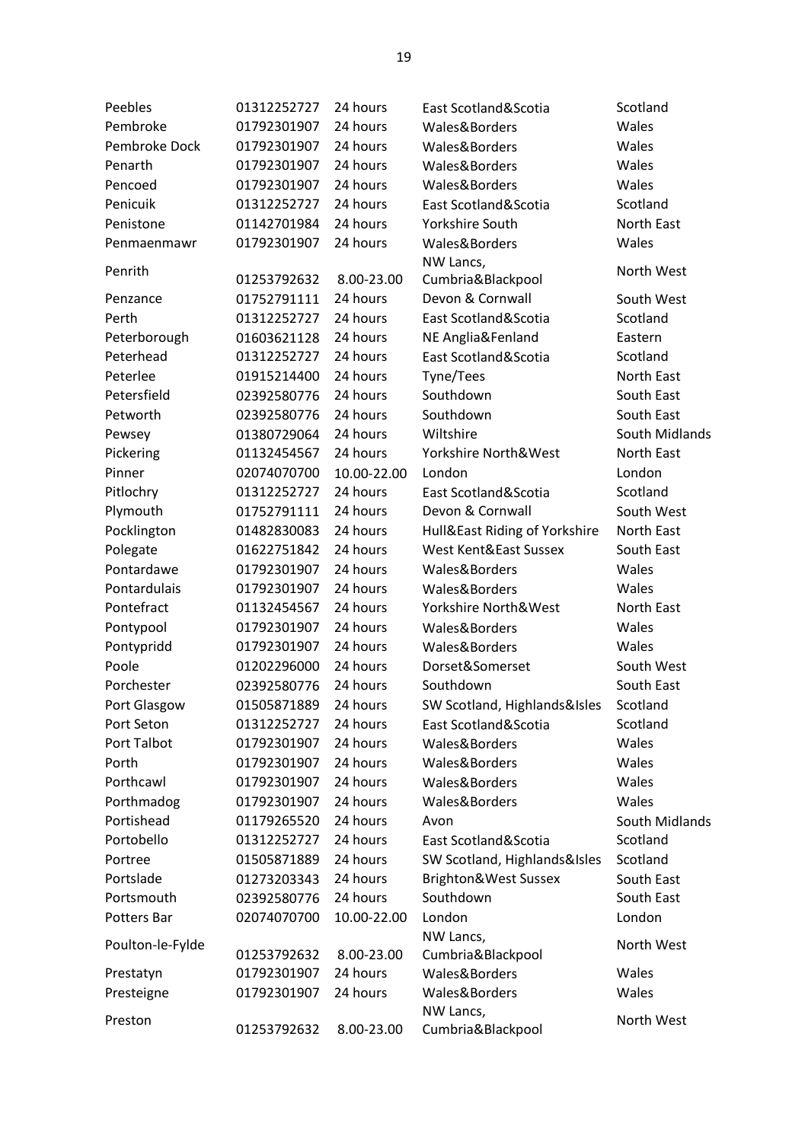| Peebles          | 01312252727 | 24 hours    | East Scotland&Scotia          | Scotland       |
|------------------|-------------|-------------|-------------------------------|----------------|
| Pembroke         | 01792301907 | 24 hours    | Wales&Borders                 | Wales          |
| Pembroke Dock    | 01792301907 | 24 hours    | Wales&Borders                 | Wales          |
| Penarth          | 01792301907 | 24 hours    | Wales&Borders                 | Wales          |
| Pencoed          | 01792301907 | 24 hours    | Wales&Borders                 | Wales          |
| Penicuik         | 01312252727 | 24 hours    | East Scotland&Scotia          | Scotland       |
| Penistone        | 01142701984 | 24 hours    | Yorkshire South               | North East     |
| Penmaenmawr      | 01792301907 | 24 hours    | Wales&Borders                 | Wales          |
|                  |             |             | NW Lancs,                     | North West     |
| Penrith          | 01253792632 | 8.00-23.00  | Cumbria&Blackpool             |                |
| Penzance         | 01752791111 | 24 hours    | Devon & Cornwall              | South West     |
| Perth            | 01312252727 | 24 hours    | East Scotland&Scotia          | Scotland       |
| Peterborough     | 01603621128 | 24 hours    | NE Anglia&Fenland             | Eastern        |
| Peterhead        | 01312252727 | 24 hours    | East Scotland&Scotia          | Scotland       |
| Peterlee         | 01915214400 | 24 hours    | Tyne/Tees                     | North East     |
| Petersfield      | 02392580776 | 24 hours    | Southdown                     | South East     |
| Petworth         | 02392580776 | 24 hours    | Southdown                     | South East     |
| Pewsey           | 01380729064 | 24 hours    | Wiltshire                     | South Midlands |
| Pickering        | 01132454567 | 24 hours    | Yorkshire North&West          | North East     |
| Pinner           | 02074070700 | 10.00-22.00 | London                        | London         |
| Pitlochry        | 01312252727 | 24 hours    | East Scotland&Scotia          | Scotland       |
| Plymouth         | 01752791111 | 24 hours    | Devon & Cornwall              | South West     |
| Pocklington      | 01482830083 | 24 hours    | Hull&East Riding of Yorkshire | North East     |
| Polegate         | 01622751842 | 24 hours    | West Kent&East Sussex         | South East     |
| Pontardawe       | 01792301907 | 24 hours    | Wales&Borders                 | Wales          |
| Pontardulais     | 01792301907 | 24 hours    | Wales&Borders                 | Wales          |
| Pontefract       | 01132454567 | 24 hours    | Yorkshire North&West          | North East     |
| Pontypool        | 01792301907 | 24 hours    | Wales&Borders                 | Wales          |
| Pontypridd       | 01792301907 | 24 hours    | Wales&Borders                 | Wales          |
| Poole            | 01202296000 | 24 hours    | Dorset&Somerset               | South West     |
| Porchester       | 02392580776 | 24 hours    | Southdown                     | South East     |
| Port Glasgow     | 01505871889 | 24 hours    | SW Scotland, Highlands&Isles  | Scotland       |
| Port Seton       | 01312252727 | 24 hours    | East Scotland&Scotia          | Scotland       |
| Port Talbot      | 01792301907 | 24 hours    | Wales&Borders                 | Wales          |
| Porth            | 01792301907 | 24 hours    | Wales&Borders                 | Wales          |
| Porthcawl        | 01792301907 | 24 hours    | Wales&Borders                 | Wales          |
| Porthmadog       | 01792301907 | 24 hours    | Wales&Borders                 | Wales          |
| Portishead       | 01179265520 | 24 hours    | Avon                          | South Midlands |
| Portobello       | 01312252727 | 24 hours    | East Scotland&Scotia          | Scotland       |
| Portree          | 01505871889 | 24 hours    | SW Scotland, Highlands&Isles  | Scotland       |
| Portslade        | 01273203343 | 24 hours    | Brighton&West Sussex          | South East     |
| Portsmouth       | 02392580776 | 24 hours    | Southdown                     | South East     |
| Potters Bar      | 02074070700 | 10.00-22.00 | London                        | London         |
|                  |             |             | NW Lancs,                     | North West     |
| Poulton-le-Fylde | 01253792632 | 8.00-23.00  | Cumbria&Blackpool             |                |
| Prestatyn        | 01792301907 | 24 hours    | Wales&Borders                 | Wales          |
| Presteigne       | 01792301907 | 24 hours    | Wales&Borders                 | Wales          |
| Preston          |             |             | NW Lancs,                     | North West     |
|                  | 01253792632 | 8.00-23.00  | Cumbria&Blackpool             |                |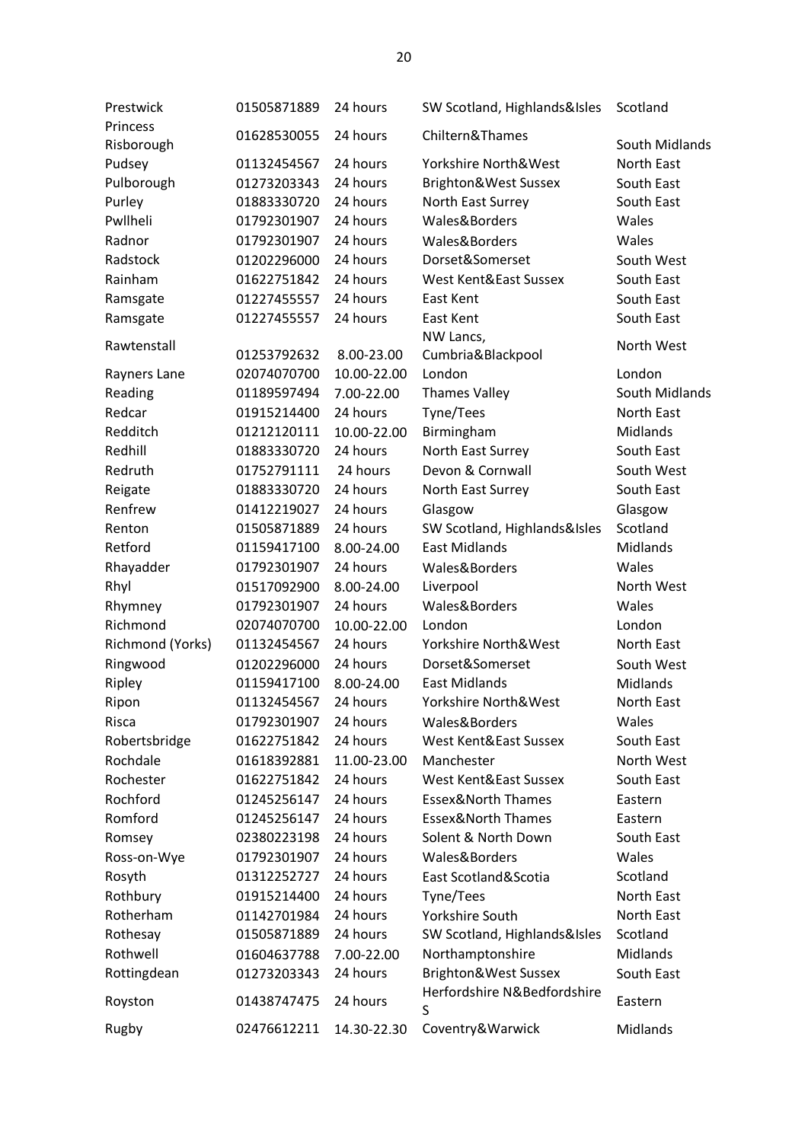| Prestwick        | 01505871889 | 24 hours    | SW Scotland, Highlands&Isles                        | Scotland                     |
|------------------|-------------|-------------|-----------------------------------------------------|------------------------------|
| Princess         | 01628530055 | 24 hours    | Chiltern&Thames                                     |                              |
| Risborough       |             | 24 hours    | Yorkshire North&West                                | South Midlands<br>North East |
| Pudsey           | 01132454567 |             |                                                     |                              |
| Pulborough       | 01273203343 | 24 hours    | Brighton&West Sussex                                | South East                   |
| Purley           | 01883330720 | 24 hours    | North East Surrey                                   | South East                   |
| Pwllheli         | 01792301907 | 24 hours    | Wales&Borders                                       | Wales                        |
| Radnor           | 01792301907 | 24 hours    | Wales&Borders                                       | Wales                        |
| Radstock         | 01202296000 | 24 hours    | Dorset&Somerset                                     | South West                   |
| Rainham          | 01622751842 | 24 hours    | West Kent&East Sussex                               | South East                   |
| Ramsgate         | 01227455557 | 24 hours    | East Kent                                           | South East                   |
| Ramsgate         | 01227455557 | 24 hours    | East Kent                                           | South East                   |
| Rawtenstall      |             |             | NW Lancs,                                           | North West                   |
|                  | 01253792632 | 8.00-23.00  | Cumbria&Blackpool                                   |                              |
| Rayners Lane     | 02074070700 | 10.00-22.00 | London                                              | London                       |
| Reading          | 01189597494 | 7.00-22.00  | <b>Thames Valley</b>                                | South Midlands               |
| Redcar           | 01915214400 | 24 hours    | Tyne/Tees                                           | North East                   |
| Redditch         | 01212120111 | 10.00-22.00 | Birmingham                                          | Midlands                     |
| Redhill          | 01883330720 | 24 hours    | North East Surrey                                   | South East                   |
| Redruth          | 01752791111 | 24 hours    | Devon & Cornwall                                    | South West                   |
| Reigate          | 01883330720 | 24 hours    | North East Surrey                                   | South East                   |
| Renfrew          | 01412219027 | 24 hours    | Glasgow                                             | Glasgow                      |
| Renton           | 01505871889 | 24 hours    | SW Scotland, Highlands&Isles                        | Scotland                     |
| Retford          | 01159417100 | 8.00-24.00  | <b>East Midlands</b>                                | Midlands                     |
| Rhayadder        | 01792301907 | 24 hours    | Wales&Borders                                       | Wales                        |
| Rhyl             | 01517092900 | 8.00-24.00  | Liverpool                                           | North West                   |
| Rhymney          | 01792301907 | 24 hours    | Wales&Borders                                       | Wales                        |
| Richmond         | 02074070700 | 10.00-22.00 | London                                              | London                       |
| Richmond (Yorks) | 01132454567 | 24 hours    | Yorkshire North&West                                | North East                   |
| Ringwood         | 01202296000 | 24 hours    | Dorset&Somerset                                     | South West                   |
| Ripley           | 01159417100 | 8.00-24.00  | <b>East Midlands</b>                                | Midlands                     |
| Ripon            | 01132454567 | 24 hours    | Yorkshire North&West                                | North East                   |
| Risca            | 01792301907 | 24 hours    | Wales&Borders                                       | Wales                        |
| Robertsbridge    | 01622751842 | 24 hours    | West Kent&East Sussex                               | South East                   |
| Rochdale         | 01618392881 | 11.00-23.00 | Manchester                                          | North West                   |
| Rochester        | 01622751842 | 24 hours    | West Kent&East Sussex                               | South East                   |
| Rochford         | 01245256147 | 24 hours    | <b>Essex&amp;North Thames</b>                       | Eastern                      |
| Romford          | 01245256147 | 24 hours    | <b>Essex&amp;North Thames</b>                       | Eastern                      |
| Romsey           | 02380223198 | 24 hours    | Solent & North Down                                 | South East                   |
| Ross-on-Wye      | 01792301907 | 24 hours    | Wales&Borders                                       | Wales                        |
| Rosyth           | 01312252727 | 24 hours    | East Scotland&Scotia                                | Scotland                     |
| Rothbury         | 01915214400 | 24 hours    | Tyne/Tees                                           | North East                   |
| Rotherham        |             |             |                                                     | North East                   |
|                  | 01142701984 | 24 hours    | Yorkshire South                                     |                              |
| Rothesay         | 01505871889 | 24 hours    | SW Scotland, Highlands&Isles                        | Scotland                     |
| Rothwell         | 01604637788 | 7.00-22.00  | Northamptonshire                                    | Midlands                     |
| Rottingdean      | 01273203343 | 24 hours    | Brighton&West Sussex<br>Herfordshire N&Bedfordshire | South East                   |
| Royston          | 01438747475 | 24 hours    | S                                                   | Eastern                      |
| Rugby            | 02476612211 | 14.30-22.30 | Coventry&Warwick                                    | Midlands                     |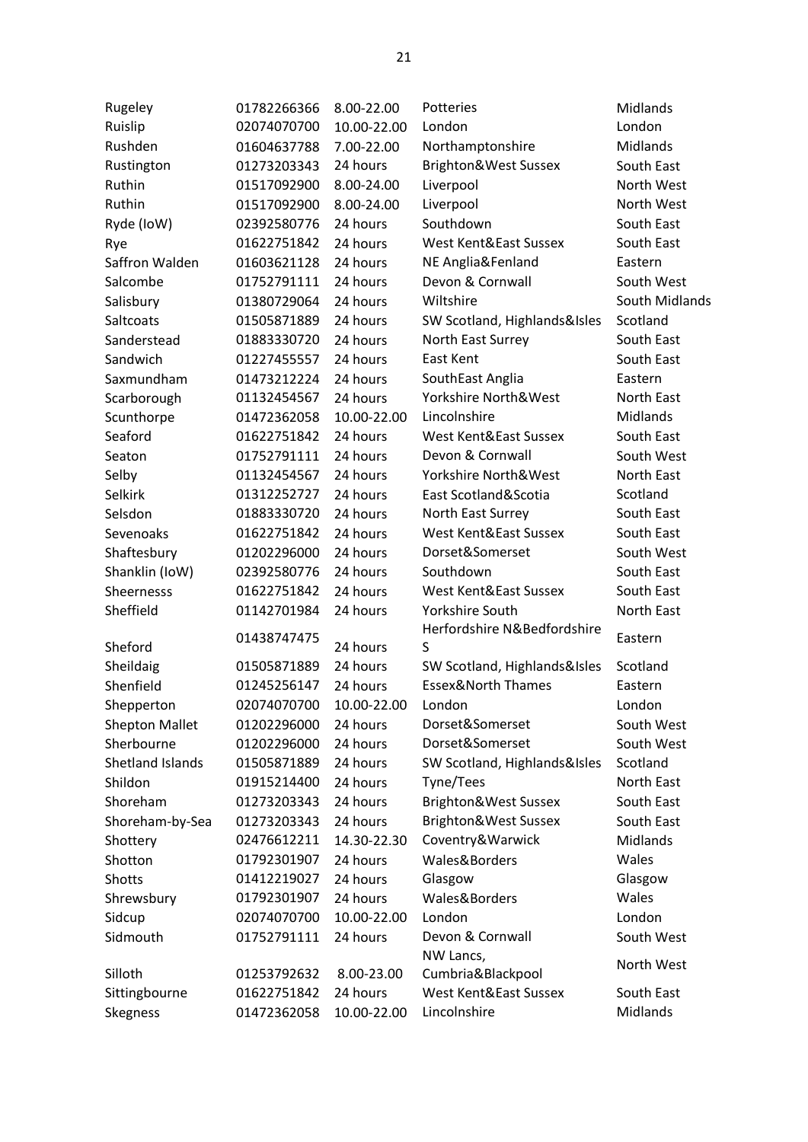| Rugeley               | 01782266366 | 8.00-22.00  | Potteries                     | Midlands        |
|-----------------------|-------------|-------------|-------------------------------|-----------------|
| Ruislip               | 02074070700 | 10.00-22.00 | London                        | London          |
| Rushden               | 01604637788 | 7.00-22.00  | Northamptonshire              | Midlands        |
| Rustington            | 01273203343 | 24 hours    | Brighton&West Sussex          | South East      |
| Ruthin                | 01517092900 | 8.00-24.00  | Liverpool                     | North West      |
| Ruthin                | 01517092900 | 8.00-24.00  | Liverpool                     | North West      |
| Ryde (IoW)            | 02392580776 | 24 hours    | Southdown                     | South East      |
| Rye                   | 01622751842 | 24 hours    | West Kent&East Sussex         | South East      |
| Saffron Walden        | 01603621128 | 24 hours    | NE Anglia&Fenland             | Eastern         |
| Salcombe              | 01752791111 | 24 hours    | Devon & Cornwall              | South West      |
| Salisbury             | 01380729064 | 24 hours    | Wiltshire                     | South Midlands  |
| Saltcoats             | 01505871889 | 24 hours    | SW Scotland, Highlands&Isles  | Scotland        |
| Sanderstead           | 01883330720 | 24 hours    | North East Surrey             | South East      |
| Sandwich              | 01227455557 | 24 hours    | East Kent                     | South East      |
| Saxmundham            | 01473212224 | 24 hours    | SouthEast Anglia              | Eastern         |
| Scarborough           | 01132454567 | 24 hours    | Yorkshire North&West          | North East      |
| Scunthorpe            | 01472362058 | 10.00-22.00 | Lincolnshire                  | <b>Midlands</b> |
| Seaford               | 01622751842 | 24 hours    | West Kent&East Sussex         | South East      |
| Seaton                | 01752791111 | 24 hours    | Devon & Cornwall              | South West      |
| Selby                 | 01132454567 | 24 hours    | Yorkshire North&West          | North East      |
| Selkirk               | 01312252727 | 24 hours    | East Scotland&Scotia          | Scotland        |
| Selsdon               | 01883330720 | 24 hours    | North East Surrey             | South East      |
| Sevenoaks             | 01622751842 | 24 hours    | West Kent&East Sussex         | South East      |
| Shaftesbury           | 01202296000 | 24 hours    | Dorset&Somerset               | South West      |
| Shanklin (IoW)        | 02392580776 | 24 hours    | Southdown                     | South East      |
| Sheernesss            | 01622751842 | 24 hours    | West Kent&East Sussex         | South East      |
| Sheffield             | 01142701984 | 24 hours    | <b>Yorkshire South</b>        | North East      |
|                       | 01438747475 |             | Herfordshire N&Bedfordshire   | Eastern         |
| Sheford               |             | 24 hours    | S                             |                 |
| Sheildaig             | 01505871889 | 24 hours    | SW Scotland, Highlands&Isles  | Scotland        |
| Shenfield             | 01245256147 | 24 hours    | <b>Essex&amp;North Thames</b> | Eastern         |
| Shepperton            | 02074070700 | 10.00-22.00 | London                        | London          |
| <b>Shepton Mallet</b> | 01202296000 | 24 hours    | Dorset&Somerset               | South West      |
| Sherbourne            | 01202296000 | 24 hours    | Dorset&Somerset               | South West      |
| Shetland Islands      | 01505871889 | 24 hours    | SW Scotland, Highlands&Isles  | Scotland        |
| Shildon               | 01915214400 | 24 hours    | Tyne/Tees                     | North East      |
| Shoreham              | 01273203343 | 24 hours    | Brighton&West Sussex          | South East      |
| Shoreham-by-Sea       | 01273203343 | 24 hours    | Brighton&West Sussex          | South East      |
| Shottery              | 02476612211 | 14.30-22.30 | Coventry&Warwick              | Midlands        |
| Shotton               | 01792301907 | 24 hours    | Wales&Borders                 | Wales           |
| Shotts                | 01412219027 | 24 hours    | Glasgow                       | Glasgow         |
| Shrewsbury            | 01792301907 | 24 hours    | Wales&Borders                 | Wales           |
| Sidcup                | 02074070700 | 10.00-22.00 | London                        | London          |
| Sidmouth              | 01752791111 | 24 hours    | Devon & Cornwall              | South West      |
|                       |             |             | NW Lancs,                     | North West      |
| Silloth               | 01253792632 | 8.00-23.00  | Cumbria&Blackpool             |                 |
| Sittingbourne         | 01622751842 | 24 hours    | West Kent&East Sussex         | South East      |
| Skegness              | 01472362058 | 10.00-22.00 | Lincolnshire                  | Midlands        |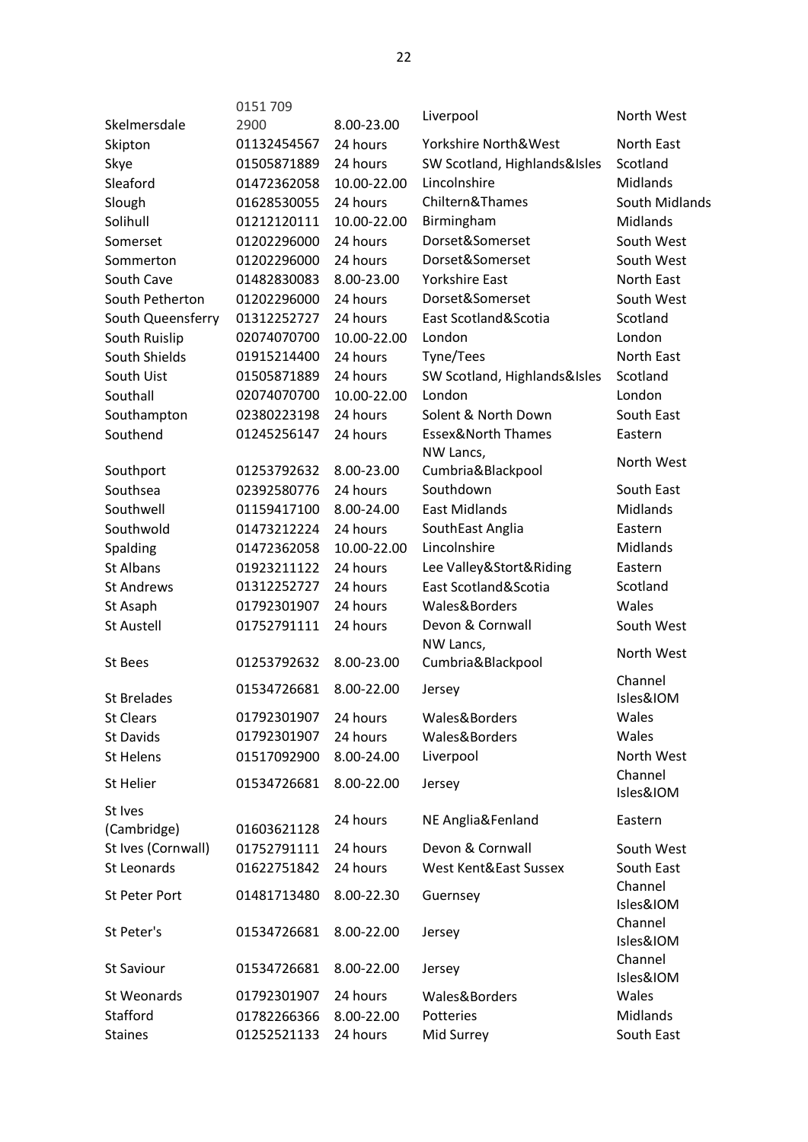|                    | 0151709     |             |                               |                      |
|--------------------|-------------|-------------|-------------------------------|----------------------|
| Skelmersdale       | 2900        | 8.00-23.00  | Liverpool                     | North West           |
| Skipton            | 01132454567 | 24 hours    | Yorkshire North&West          | North East           |
| Skye               | 01505871889 | 24 hours    | SW Scotland, Highlands&Isles  | Scotland             |
| Sleaford           | 01472362058 | 10.00-22.00 | Lincolnshire                  | <b>Midlands</b>      |
| Slough             | 01628530055 | 24 hours    | Chiltern&Thames               | South Midlands       |
| Solihull           | 01212120111 | 10.00-22.00 | Birmingham                    | <b>Midlands</b>      |
| Somerset           | 01202296000 | 24 hours    | Dorset&Somerset               | South West           |
| Sommerton          | 01202296000 | 24 hours    | Dorset&Somerset               | South West           |
| South Cave         | 01482830083 | 8.00-23.00  | <b>Yorkshire East</b>         | North East           |
| South Petherton    | 01202296000 | 24 hours    | Dorset&Somerset               | South West           |
| South Queensferry  | 01312252727 | 24 hours    | East Scotland&Scotia          | Scotland             |
| South Ruislip      | 02074070700 | 10.00-22.00 | London                        | London               |
| South Shields      | 01915214400 | 24 hours    | Tyne/Tees                     | North East           |
| South Uist         | 01505871889 | 24 hours    | SW Scotland, Highlands&Isles  | Scotland             |
| Southall           | 02074070700 | 10.00-22.00 | London                        | London               |
| Southampton        | 02380223198 | 24 hours    | Solent & North Down           | South East           |
| Southend           | 01245256147 | 24 hours    | <b>Essex&amp;North Thames</b> | Eastern              |
|                    |             |             | NW Lancs,                     |                      |
| Southport          | 01253792632 | 8.00-23.00  | Cumbria&Blackpool             | North West           |
| Southsea           | 02392580776 | 24 hours    | Southdown                     | South East           |
| Southwell          | 01159417100 | 8.00-24.00  | <b>East Midlands</b>          | <b>Midlands</b>      |
| Southwold          | 01473212224 | 24 hours    | SouthEast Anglia              | Eastern              |
| Spalding           | 01472362058 | 10.00-22.00 | Lincolnshire                  | <b>Midlands</b>      |
| <b>St Albans</b>   | 01923211122 | 24 hours    | Lee Valley&Stort&Riding       | Eastern              |
| <b>St Andrews</b>  | 01312252727 | 24 hours    | East Scotland&Scotia          | Scotland             |
| St Asaph           | 01792301907 | 24 hours    | Wales&Borders                 | Wales                |
| <b>St Austell</b>  | 01752791111 | 24 hours    | Devon & Cornwall              | South West           |
|                    |             |             | NW Lancs,                     |                      |
| <b>St Bees</b>     | 01253792632 | 8.00-23.00  | Cumbria&Blackpool             | North West           |
|                    | 01534726681 | 8.00-22.00  |                               | Channel              |
| <b>St Brelades</b> |             |             | Jersey                        | Isles&IOM            |
| <b>St Clears</b>   | 01792301907 | 24 hours    | Wales&Borders                 | Wales                |
| St Davids          | 01792301907 | 24 hours    | Wales&Borders                 | Wales                |
| <b>St Helens</b>   | 01517092900 | 8.00-24.00  | Liverpool                     | North West           |
| St Helier          | 01534726681 | 8.00-22.00  | Jersey                        | Channel              |
|                    |             |             |                               | Isles&IOM            |
| St Ives            |             | 24 hours    | NE Anglia&Fenland             | Eastern              |
| (Cambridge)        | 01603621128 |             |                               |                      |
| St Ives (Cornwall) | 01752791111 | 24 hours    | Devon & Cornwall              | South West           |
| <b>St Leonards</b> | 01622751842 | 24 hours    | West Kent&East Sussex         | South East           |
| St Peter Port      | 01481713480 | 8.00-22.30  | Guernsey                      | Channel              |
|                    |             |             |                               | Isles&IOM            |
| St Peter's         | 01534726681 | 8.00-22.00  | Jersey                        | Channel              |
|                    |             |             |                               | Isles&IOM<br>Channel |
| St Saviour         | 01534726681 | 8.00-22.00  | Jersey                        | Isles&IOM            |
| St Weonards        | 01792301907 | 24 hours    | Wales&Borders                 | Wales                |
| Stafford           | 01782266366 | 8.00-22.00  | Potteries                     | Midlands             |
| <b>Staines</b>     | 01252521133 | 24 hours    | Mid Surrey                    | South East           |
|                    |             |             |                               |                      |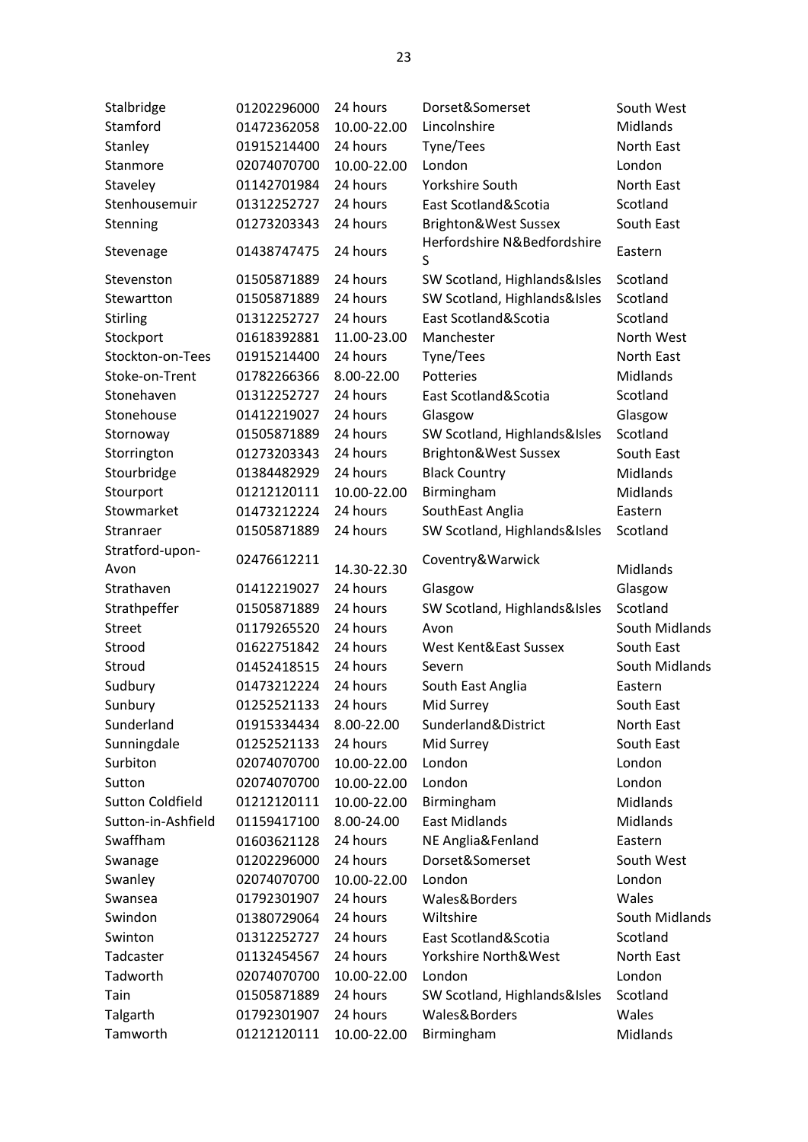| Stalbridge              | 01202296000 | 24 hours    | Dorset&Somerset                  | South West      |
|-------------------------|-------------|-------------|----------------------------------|-----------------|
| Stamford                | 01472362058 | 10.00-22.00 | Lincolnshire                     | Midlands        |
| Stanley                 | 01915214400 | 24 hours    | Tyne/Tees                        | North East      |
| Stanmore                | 02074070700 | 10.00-22.00 | London                           | London          |
| Staveley                | 01142701984 | 24 hours    | Yorkshire South                  | North East      |
| Stenhousemuir           | 01312252727 | 24 hours    | East Scotland&Scotia             | Scotland        |
| Stenning                | 01273203343 | 24 hours    | Brighton&West Sussex             | South East      |
| Stevenage               | 01438747475 | 24 hours    | Herfordshire N&Bedfordshire<br>S | Eastern         |
| Stevenston              | 01505871889 | 24 hours    | SW Scotland, Highlands&Isles     | Scotland        |
| Stewartton              | 01505871889 | 24 hours    | SW Scotland, Highlands&Isles     | Scotland        |
| Stirling                | 01312252727 | 24 hours    | East Scotland&Scotia             | Scotland        |
| Stockport               | 01618392881 | 11.00-23.00 | Manchester                       | North West      |
| Stockton-on-Tees        | 01915214400 | 24 hours    | Tyne/Tees                        | North East      |
| Stoke-on-Trent          | 01782266366 | 8.00-22.00  | Potteries                        | <b>Midlands</b> |
| Stonehaven              | 01312252727 | 24 hours    | East Scotland&Scotia             | Scotland        |
| Stonehouse              | 01412219027 | 24 hours    | Glasgow                          | Glasgow         |
| Stornoway               | 01505871889 | 24 hours    | SW Scotland, Highlands&Isles     | Scotland        |
| Storrington             | 01273203343 | 24 hours    | Brighton&West Sussex             | South East      |
| Stourbridge             | 01384482929 | 24 hours    | <b>Black Country</b>             | Midlands        |
| Stourport               | 01212120111 | 10.00-22.00 | Birmingham                       | Midlands        |
| Stowmarket              | 01473212224 | 24 hours    | SouthEast Anglia                 | Eastern         |
| Stranraer               | 01505871889 | 24 hours    | SW Scotland, Highlands&Isles     | Scotland        |
| Stratford-upon-         |             |             |                                  |                 |
| Avon                    | 02476612211 | 14.30-22.30 | Coventry&Warwick                 | Midlands        |
| Strathaven              | 01412219027 | 24 hours    | Glasgow                          | Glasgow         |
| Strathpeffer            | 01505871889 | 24 hours    | SW Scotland, Highlands&Isles     | Scotland        |
| <b>Street</b>           | 01179265520 | 24 hours    | Avon                             | South Midlands  |
| Strood                  | 01622751842 | 24 hours    | West Kent&East Sussex            | South East      |
| Stroud                  | 01452418515 | 24 hours    | Severn                           | South Midlands  |
| Sudbury                 | 01473212224 | 24 hours    | South East Anglia                | Eastern         |
| Sunbury                 | 01252521133 | 24 hours    | Mid Surrey                       | South East      |
| Sunderland              | 01915334434 | 8.00-22.00  | Sunderland&District              | North East      |
| Sunningdale             | 01252521133 | 24 hours    | Mid Surrey                       | South East      |
| Surbiton                | 02074070700 | 10.00-22.00 | London                           | London          |
| Sutton                  | 02074070700 | 10.00-22.00 | London                           | London          |
| <b>Sutton Coldfield</b> | 01212120111 | 10.00-22.00 | Birmingham                       | <b>Midlands</b> |
| Sutton-in-Ashfield      | 01159417100 | 8.00-24.00  | <b>East Midlands</b>             | Midlands        |
| Swaffham                | 01603621128 | 24 hours    | NE Anglia&Fenland                | Eastern         |
| Swanage                 | 01202296000 | 24 hours    | Dorset&Somerset                  | South West      |
| Swanley                 | 02074070700 | 10.00-22.00 | London                           | London          |
| Swansea                 | 01792301907 | 24 hours    | Wales&Borders                    | Wales           |
| Swindon                 | 01380729064 | 24 hours    | Wiltshire                        | South Midlands  |
| Swinton                 | 01312252727 | 24 hours    | East Scotland&Scotia             | Scotland        |
| Tadcaster               | 01132454567 | 24 hours    | Yorkshire North&West             | North East      |
| Tadworth                | 02074070700 | 10.00-22.00 | London                           | London          |
| Tain                    | 01505871889 | 24 hours    | SW Scotland, Highlands&Isles     | Scotland        |
| Talgarth                | 01792301907 | 24 hours    | Wales&Borders                    | Wales           |
| Tamworth                | 01212120111 | 10.00-22.00 | Birmingham                       | Midlands        |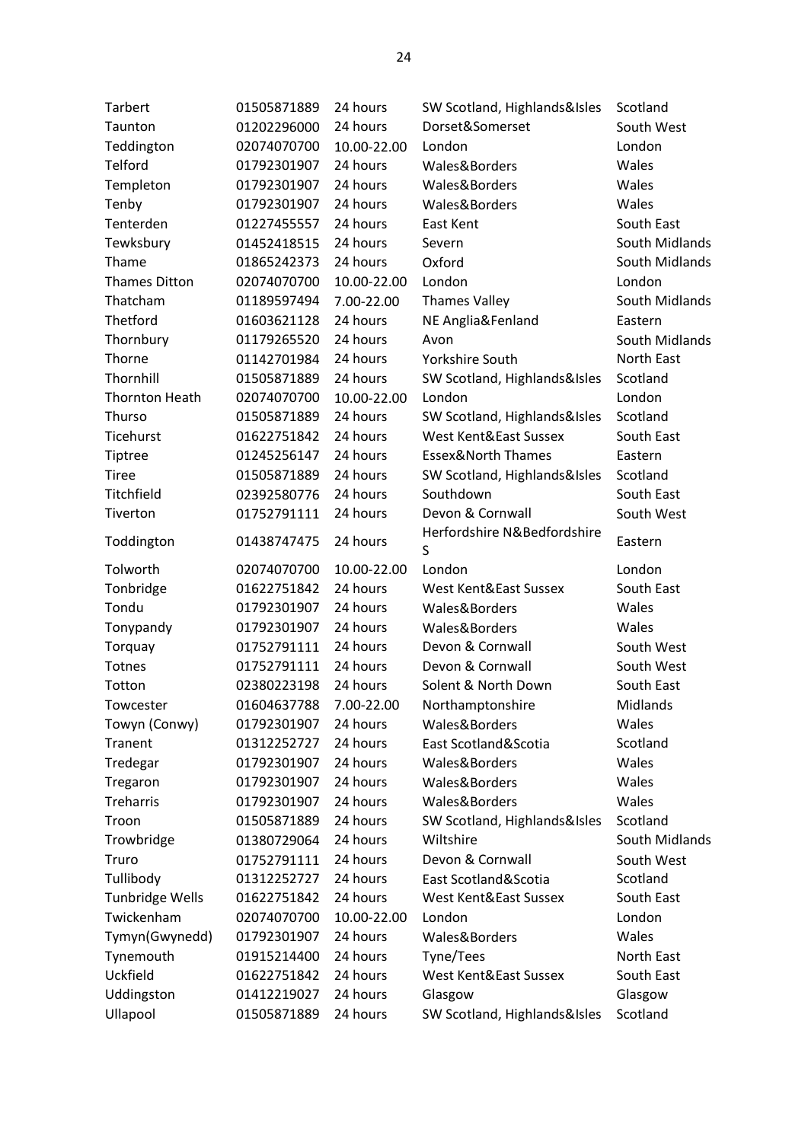| <b>Tarbert</b>         | 01505871889 | 24 hours    | SW Scotland, Highlands&Isles     | Scotland        |
|------------------------|-------------|-------------|----------------------------------|-----------------|
| Taunton                | 01202296000 | 24 hours    | Dorset&Somerset                  | South West      |
| Teddington             | 02074070700 | 10.00-22.00 | London                           | London          |
| Telford                | 01792301907 | 24 hours    | Wales&Borders                    | Wales           |
| Templeton              | 01792301907 | 24 hours    | Wales&Borders                    | Wales           |
| Tenby                  | 01792301907 | 24 hours    | Wales&Borders                    | Wales           |
| Tenterden              | 01227455557 | 24 hours    | East Kent                        | South East      |
| Tewksbury              | 01452418515 | 24 hours    | Severn                           | South Midlands  |
| Thame                  | 01865242373 | 24 hours    | Oxford                           | South Midlands  |
| <b>Thames Ditton</b>   | 02074070700 | 10.00-22.00 | London                           | London          |
| Thatcham               | 01189597494 | 7.00-22.00  | <b>Thames Valley</b>             | South Midlands  |
| Thetford               | 01603621128 | 24 hours    | NE Anglia&Fenland                | Eastern         |
| Thornbury              | 01179265520 | 24 hours    | Avon                             | South Midlands  |
| Thorne                 | 01142701984 | 24 hours    | Yorkshire South                  | North East      |
| Thornhill              | 01505871889 | 24 hours    | SW Scotland, Highlands&Isles     | Scotland        |
| <b>Thornton Heath</b>  | 02074070700 | 10.00-22.00 | London                           | London          |
| Thurso                 | 01505871889 | 24 hours    | SW Scotland, Highlands&Isles     | Scotland        |
| Ticehurst              | 01622751842 | 24 hours    | West Kent&East Sussex            | South East      |
| Tiptree                | 01245256147 | 24 hours    | <b>Essex&amp;North Thames</b>    | Eastern         |
| <b>Tiree</b>           | 01505871889 | 24 hours    | SW Scotland, Highlands&Isles     | Scotland        |
| Titchfield             | 02392580776 | 24 hours    | Southdown                        | South East      |
| Tiverton               | 01752791111 | 24 hours    | Devon & Cornwall                 | South West      |
| Toddington             | 01438747475 | 24 hours    | Herfordshire N&Bedfordshire<br>S | Eastern         |
|                        |             |             |                                  |                 |
| Tolworth               | 02074070700 | 10.00-22.00 | London                           | London          |
| Tonbridge              | 01622751842 | 24 hours    | West Kent&East Sussex            | South East      |
| Tondu                  | 01792301907 | 24 hours    | Wales&Borders                    | Wales           |
| Tonypandy              | 01792301907 | 24 hours    | Wales&Borders                    | Wales           |
| Torquay                | 01752791111 | 24 hours    | Devon & Cornwall                 | South West      |
| Totnes                 | 01752791111 | 24 hours    | Devon & Cornwall                 | South West      |
| Totton                 | 02380223198 | 24 hours    | Solent & North Down              | South East      |
| Towcester              | 01604637788 | 7.00-22.00  | Northamptonshire                 | <b>Midlands</b> |
| Towyn (Conwy)          | 01792301907 | 24 hours    | Wales&Borders                    | Wales           |
| Tranent                | 01312252727 | 24 hours    | East Scotland&Scotia             | Scotland        |
| Tredegar               | 01792301907 | 24 hours    | Wales&Borders                    | Wales           |
| Tregaron               | 01792301907 | 24 hours    | Wales&Borders                    | Wales           |
| <b>Treharris</b>       | 01792301907 | 24 hours    | Wales&Borders                    | Wales           |
| Troon                  | 01505871889 | 24 hours    | SW Scotland, Highlands&Isles     | Scotland        |
| Trowbridge             | 01380729064 | 24 hours    | Wiltshire                        | South Midlands  |
| Truro                  | 01752791111 | 24 hours    | Devon & Cornwall                 | South West      |
| Tullibody              | 01312252727 | 24 hours    | East Scotland&Scotia             | Scotland        |
| <b>Tunbridge Wells</b> | 01622751842 | 24 hours    | West Kent&East Sussex            | South East      |
| Twickenham             | 02074070700 | 10.00-22.00 | London                           | London          |
| Tymyn(Gwynedd)         | 01792301907 | 24 hours    | Wales&Borders                    | Wales           |
| Tynemouth              | 01915214400 | 24 hours    | Tyne/Tees                        | North East      |
| Uckfield               | 01622751842 | 24 hours    | West Kent&East Sussex            | South East      |
| Uddingston             | 01412219027 | 24 hours    | Glasgow                          | Glasgow         |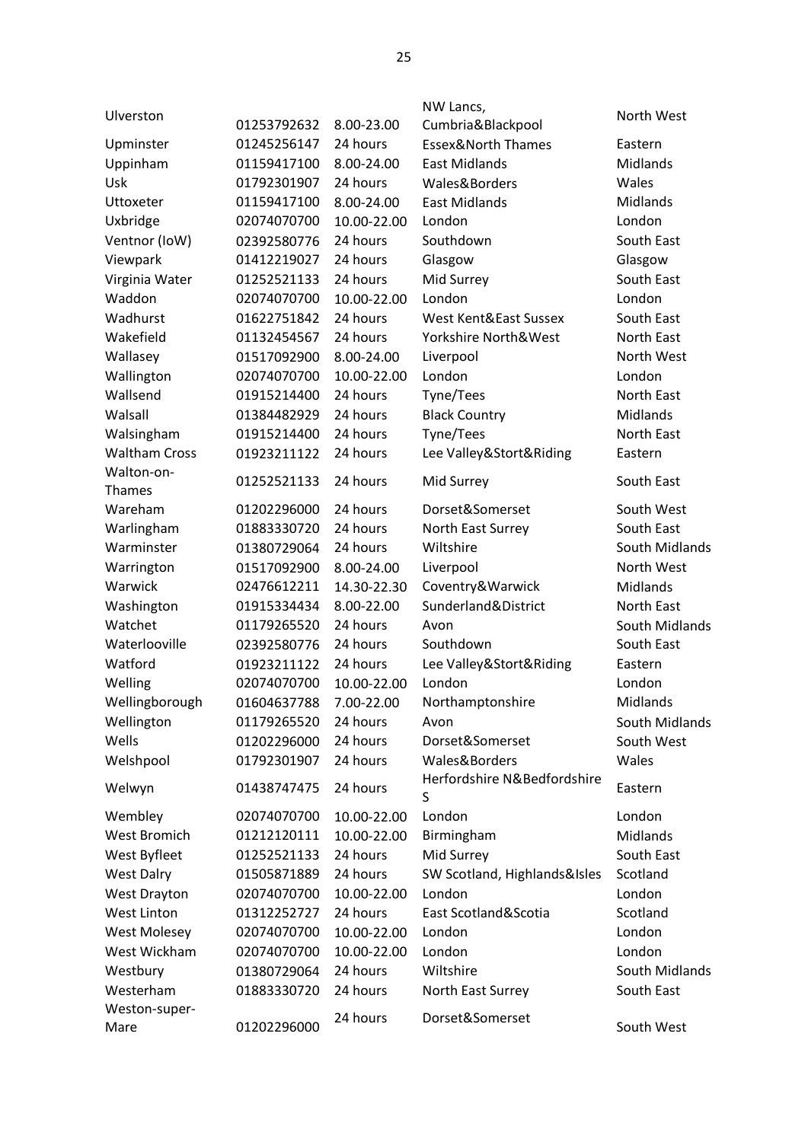|             |                                                                                                                                                    | NW Lancs,                                                                                                                                       |                                                                                                                                                                                    |
|-------------|----------------------------------------------------------------------------------------------------------------------------------------------------|-------------------------------------------------------------------------------------------------------------------------------------------------|------------------------------------------------------------------------------------------------------------------------------------------------------------------------------------|
| 01253792632 | 8.00-23.00                                                                                                                                         | Cumbria&Blackpool                                                                                                                               | North West                                                                                                                                                                         |
| 01245256147 | 24 hours                                                                                                                                           | <b>Essex&amp;North Thames</b>                                                                                                                   | Eastern                                                                                                                                                                            |
| 01159417100 | 8.00-24.00                                                                                                                                         | <b>East Midlands</b>                                                                                                                            | Midlands                                                                                                                                                                           |
| 01792301907 | 24 hours                                                                                                                                           | Wales&Borders                                                                                                                                   | Wales                                                                                                                                                                              |
| 01159417100 | 8.00-24.00                                                                                                                                         | <b>East Midlands</b>                                                                                                                            | Midlands                                                                                                                                                                           |
| 02074070700 | 10.00-22.00                                                                                                                                        | London                                                                                                                                          | London                                                                                                                                                                             |
| 02392580776 | 24 hours                                                                                                                                           | Southdown                                                                                                                                       | South East                                                                                                                                                                         |
| 01412219027 | 24 hours                                                                                                                                           | Glasgow                                                                                                                                         | Glasgow                                                                                                                                                                            |
| 01252521133 | 24 hours                                                                                                                                           | Mid Surrey                                                                                                                                      | South East                                                                                                                                                                         |
| 02074070700 | 10.00-22.00                                                                                                                                        | London                                                                                                                                          | London                                                                                                                                                                             |
| 01622751842 | 24 hours                                                                                                                                           | West Kent&East Sussex                                                                                                                           | South East                                                                                                                                                                         |
| 01132454567 | 24 hours                                                                                                                                           | Yorkshire North&West                                                                                                                            | North East                                                                                                                                                                         |
| 01517092900 | 8.00-24.00                                                                                                                                         | Liverpool                                                                                                                                       | North West                                                                                                                                                                         |
| 02074070700 | 10.00-22.00                                                                                                                                        | London                                                                                                                                          | London                                                                                                                                                                             |
| 01915214400 | 24 hours                                                                                                                                           | Tyne/Tees                                                                                                                                       | North East                                                                                                                                                                         |
| 01384482929 | 24 hours                                                                                                                                           | <b>Black Country</b>                                                                                                                            | Midlands                                                                                                                                                                           |
| 01915214400 | 24 hours                                                                                                                                           | Tyne/Tees                                                                                                                                       | North East                                                                                                                                                                         |
| 01923211122 | 24 hours                                                                                                                                           | Lee Valley&Stort&Riding                                                                                                                         | Eastern                                                                                                                                                                            |
| 01252521133 | 24 hours                                                                                                                                           | Mid Surrey                                                                                                                                      | South East                                                                                                                                                                         |
| 01202296000 | 24 hours                                                                                                                                           | Dorset&Somerset                                                                                                                                 | South West                                                                                                                                                                         |
| 01883330720 | 24 hours                                                                                                                                           | North East Surrey                                                                                                                               | South East                                                                                                                                                                         |
| 01380729064 | 24 hours                                                                                                                                           | Wiltshire                                                                                                                                       | South Midlands                                                                                                                                                                     |
| 01517092900 | 8.00-24.00                                                                                                                                         | Liverpool                                                                                                                                       | North West                                                                                                                                                                         |
| 02476612211 | 14.30-22.30                                                                                                                                        | Coventry&Warwick                                                                                                                                | Midlands                                                                                                                                                                           |
| 01915334434 | 8.00-22.00                                                                                                                                         | Sunderland&District                                                                                                                             | North East                                                                                                                                                                         |
| 01179265520 | 24 hours                                                                                                                                           | Avon                                                                                                                                            | South Midlands                                                                                                                                                                     |
| 02392580776 | 24 hours                                                                                                                                           | Southdown                                                                                                                                       | South East                                                                                                                                                                         |
| 01923211122 | 24 hours                                                                                                                                           | Lee Valley&Stort&Riding                                                                                                                         | Eastern                                                                                                                                                                            |
| 02074070700 | 10.00-22.00                                                                                                                                        | London                                                                                                                                          | London                                                                                                                                                                             |
| 01604637788 | 7.00-22.00                                                                                                                                         | Northamptonshire                                                                                                                                | Midlands                                                                                                                                                                           |
| 01179265520 | 24 hours                                                                                                                                           | Avon                                                                                                                                            | South Midlands                                                                                                                                                                     |
| 01202296000 | 24 hours                                                                                                                                           | Dorset&Somerset                                                                                                                                 | South West                                                                                                                                                                         |
| 01792301907 | 24 hours                                                                                                                                           | Wales&Borders                                                                                                                                   | Wales                                                                                                                                                                              |
| 01438747475 | 24 hours                                                                                                                                           | Herfordshire N&Bedfordshire                                                                                                                     | Eastern                                                                                                                                                                            |
|             |                                                                                                                                                    |                                                                                                                                                 | London                                                                                                                                                                             |
|             |                                                                                                                                                    |                                                                                                                                                 | Midlands                                                                                                                                                                           |
|             |                                                                                                                                                    |                                                                                                                                                 | South East                                                                                                                                                                         |
|             |                                                                                                                                                    |                                                                                                                                                 | Scotland                                                                                                                                                                           |
|             |                                                                                                                                                    |                                                                                                                                                 | London                                                                                                                                                                             |
|             |                                                                                                                                                    |                                                                                                                                                 | Scotland                                                                                                                                                                           |
|             |                                                                                                                                                    |                                                                                                                                                 | London                                                                                                                                                                             |
|             |                                                                                                                                                    |                                                                                                                                                 | London                                                                                                                                                                             |
|             |                                                                                                                                                    |                                                                                                                                                 | South Midlands                                                                                                                                                                     |
|             |                                                                                                                                                    |                                                                                                                                                 | South East                                                                                                                                                                         |
|             |                                                                                                                                                    |                                                                                                                                                 |                                                                                                                                                                                    |
| 01202296000 |                                                                                                                                                    |                                                                                                                                                 | South West                                                                                                                                                                         |
|             | 02074070700<br>01212120111<br>01252521133<br>01505871889<br>02074070700<br>01312252727<br>02074070700<br>02074070700<br>01380729064<br>01883330720 | 10.00-22.00<br>10.00-22.00<br>24 hours<br>24 hours<br>10.00-22.00<br>24 hours<br>10.00-22.00<br>10.00-22.00<br>24 hours<br>24 hours<br>24 hours | S<br>London<br>Birmingham<br>Mid Surrey<br>SW Scotland, Highlands&Isles<br>London<br>East Scotland&Scotia<br>London<br>London<br>Wiltshire<br>North East Surrey<br>Dorset&Somerset |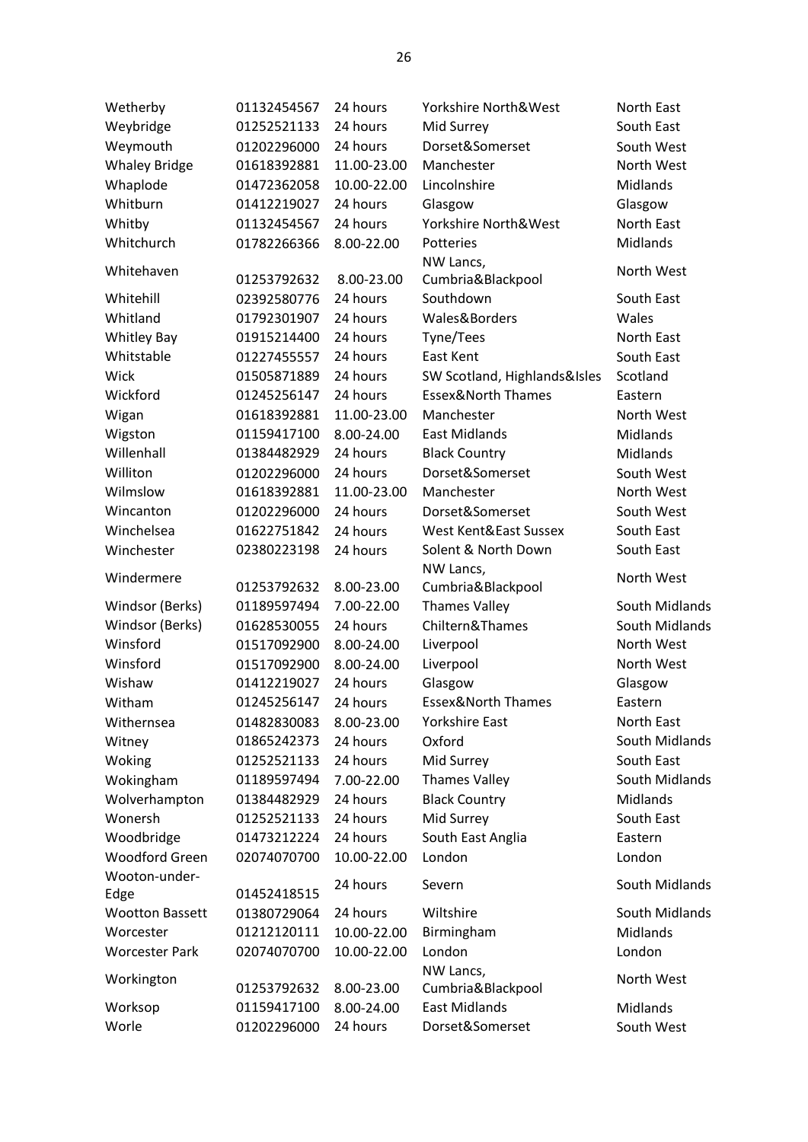| Wetherby               | 01132454567 | 24 hours    | Yorkshire North&West          | North East     |
|------------------------|-------------|-------------|-------------------------------|----------------|
| Weybridge              | 01252521133 | 24 hours    | Mid Surrey                    | South East     |
| Weymouth               | 01202296000 | 24 hours    | Dorset&Somerset               | South West     |
| <b>Whaley Bridge</b>   | 01618392881 | 11.00-23.00 | Manchester                    | North West     |
| Whaplode               | 01472362058 | 10.00-22.00 | Lincolnshire                  | Midlands       |
| Whitburn               | 01412219027 | 24 hours    | Glasgow                       | Glasgow        |
| Whitby                 | 01132454567 | 24 hours    | Yorkshire North&West          | North East     |
| Whitchurch             | 01782266366 | 8.00-22.00  | Potteries                     | Midlands       |
|                        |             |             | NW Lancs,                     |                |
| Whitehaven             | 01253792632 | 8.00-23.00  | Cumbria&Blackpool             | North West     |
| Whitehill              | 02392580776 | 24 hours    | Southdown                     | South East     |
| Whitland               | 01792301907 | 24 hours    | Wales&Borders                 | Wales          |
| <b>Whitley Bay</b>     | 01915214400 | 24 hours    | Tyne/Tees                     | North East     |
| Whitstable             | 01227455557 | 24 hours    | East Kent                     | South East     |
| Wick                   | 01505871889 | 24 hours    | SW Scotland, Highlands&Isles  | Scotland       |
| Wickford               | 01245256147 | 24 hours    | <b>Essex&amp;North Thames</b> | Eastern        |
| Wigan                  | 01618392881 | 11.00-23.00 | Manchester                    | North West     |
| Wigston                | 01159417100 | 8.00-24.00  | <b>East Midlands</b>          | Midlands       |
| Willenhall             | 01384482929 | 24 hours    | <b>Black Country</b>          | Midlands       |
| Williton               | 01202296000 | 24 hours    | Dorset&Somerset               | South West     |
| Wilmslow               | 01618392881 | 11.00-23.00 | Manchester                    | North West     |
| Wincanton              | 01202296000 | 24 hours    | Dorset&Somerset               | South West     |
| Winchelsea             | 01622751842 | 24 hours    | West Kent&East Sussex         | South East     |
| Winchester             | 02380223198 | 24 hours    | Solent & North Down           | South East     |
|                        |             |             | NW Lancs,                     |                |
| Windermere             | 01253792632 | 8.00-23.00  | Cumbria&Blackpool             | North West     |
| Windsor (Berks)        | 01189597494 | 7.00-22.00  | <b>Thames Valley</b>          | South Midlands |
| Windsor (Berks)        | 01628530055 | 24 hours    | Chiltern&Thames               | South Midlands |
| Winsford               | 01517092900 | 8.00-24.00  | Liverpool                     | North West     |
| Winsford               | 01517092900 | 8.00-24.00  | Liverpool                     | North West     |
| Wishaw                 | 01412219027 | 24 hours    | Glasgow                       | Glasgow        |
| Witham                 | 01245256147 | 24 hours    | <b>Essex&amp;North Thames</b> | Eastern        |
| Withernsea             | 01482830083 | 8.00-23.00  | Yorkshire East                | North East     |
| Witney                 | 01865242373 | 24 hours    | Oxford                        | South Midlands |
| Woking                 | 01252521133 | 24 hours    | Mid Surrey                    | South East     |
| Wokingham              | 01189597494 | 7.00-22.00  | <b>Thames Valley</b>          | South Midlands |
| Wolverhampton          | 01384482929 | 24 hours    | <b>Black Country</b>          | Midlands       |
| Wonersh                | 01252521133 | 24 hours    | Mid Surrey                    | South East     |
| Woodbridge             | 01473212224 | 24 hours    | South East Anglia             | Eastern        |
| <b>Woodford Green</b>  | 02074070700 | 10.00-22.00 | London                        | London         |
| Wooton-under-          |             | 24 hours    | Severn                        | South Midlands |
| Edge                   | 01452418515 |             |                               |                |
| <b>Wootton Bassett</b> | 01380729064 | 24 hours    | Wiltshire                     | South Midlands |
| Worcester              | 01212120111 | 10.00-22.00 | Birmingham                    | Midlands       |
| <b>Worcester Park</b>  | 02074070700 | 10.00-22.00 | London                        | London         |
| Workington             |             |             | NW Lancs,                     | North West     |
|                        | 01253792632 | 8.00-23.00  | Cumbria&Blackpool             |                |
| Worksop                | 01159417100 | 8.00-24.00  | <b>East Midlands</b>          | Midlands       |
| Worle                  | 01202296000 | 24 hours    | Dorset&Somerset               | South West     |